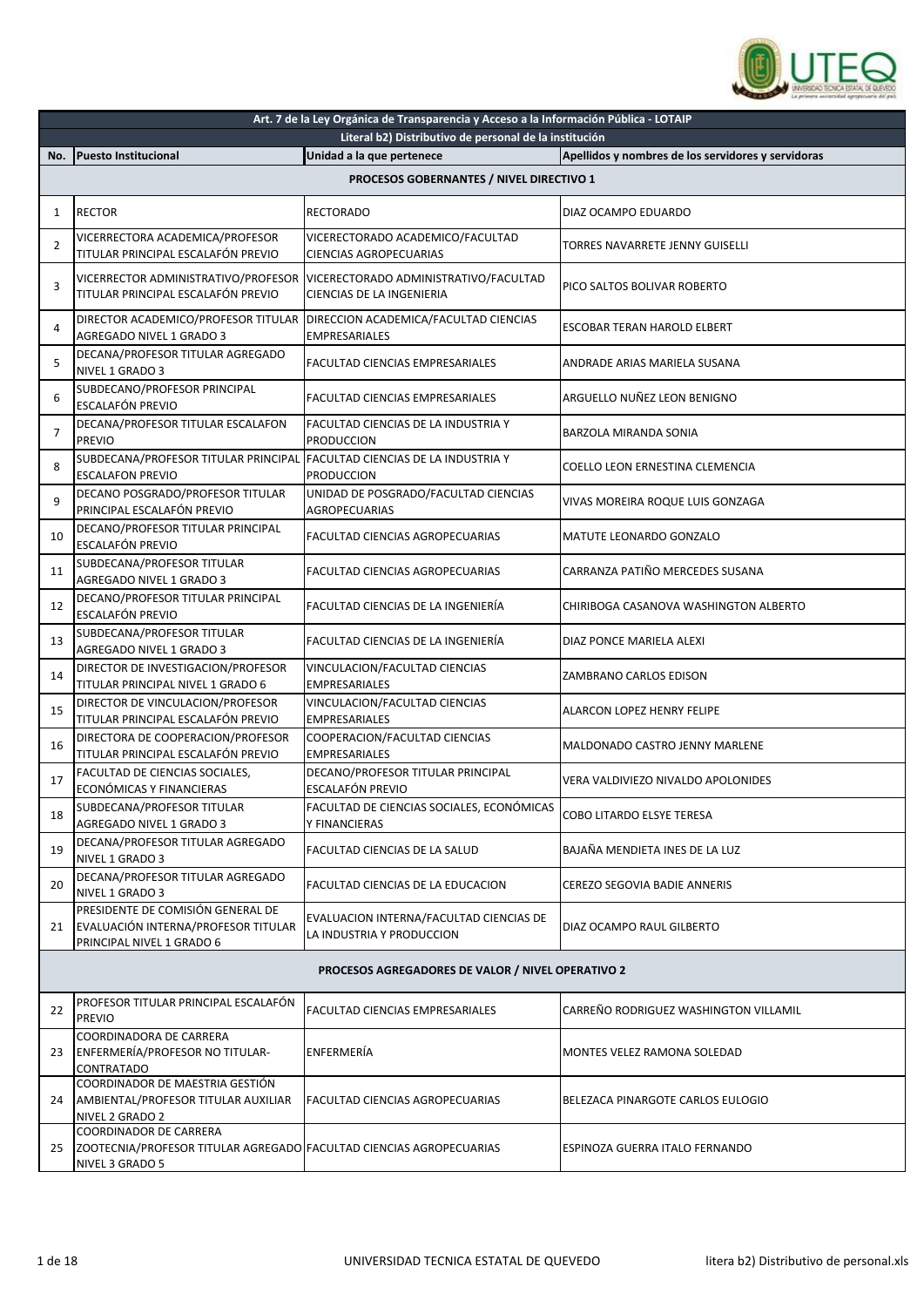

| Art. 7 de la Ley Orgánica de Transparencia y Acceso a la Información Pública - LOTAIP |                                                                                                                  |                                                                      |                                                    |
|---------------------------------------------------------------------------------------|------------------------------------------------------------------------------------------------------------------|----------------------------------------------------------------------|----------------------------------------------------|
|                                                                                       |                                                                                                                  | Literal b2) Distributivo de personal de la institución               |                                                    |
| No.                                                                                   | <b>Puesto Institucional</b>                                                                                      | Unidad a la que pertenece                                            | Apellidos y nombres de los servidores y servidoras |
|                                                                                       |                                                                                                                  | PROCESOS GOBERNANTES / NIVEL DIRECTIVO 1                             |                                                    |
| $\mathbf{1}$                                                                          | <b>RECTOR</b>                                                                                                    | <b>RECTORADO</b>                                                     | DIAZ OCAMPO EDUARDO                                |
| 2                                                                                     | VICERRECTORA ACADEMICA/PROFESOR<br>TITULAR PRINCIPAL ESCALAFÓN PREVIO                                            | VICERECTORADO ACADEMICO/FACULTAD<br>CIENCIAS AGROPECUARIAS           | TORRES NAVARRETE JENNY GUISELLI                    |
| 3                                                                                     | VICERRECTOR ADMINISTRATIVO/PROFESOR<br>TITULAR PRINCIPAL ESCALAFÓN PREVIO                                        | VICERECTORADO ADMINISTRATIVO/FACULTAD<br>CIENCIAS DE LA INGENIERIA   | PICO SALTOS BOLIVAR ROBERTO                        |
| 4                                                                                     | DIRECTOR ACADEMICO/PROFESOR TITULAR<br>AGREGADO NIVEL 1 GRADO 3                                                  | DIRECCION ACADEMICA/FACULTAD CIENCIAS<br><b>EMPRESARIALES</b>        | <b>ESCOBAR TERAN HAROLD ELBERT</b>                 |
| 5                                                                                     | DECANA/PROFESOR TITULAR AGREGADO<br>NIVEL 1 GRADO 3                                                              | FACULTAD CIENCIAS EMPRESARIALES                                      | ANDRADE ARIAS MARIELA SUSANA                       |
| 6                                                                                     | SUBDECANO/PROFESOR PRINCIPAL<br><b>ESCALAFÓN PREVIO</b>                                                          | <b>FACULTAD CIENCIAS EMPRESARIALES</b>                               | ARGUELLO NUÑEZ LEON BENIGNO                        |
| $\overline{7}$                                                                        | DECANA/PROFESOR TITULAR ESCALAFON<br>PREVIO                                                                      | FACULTAD CIENCIAS DE LA INDUSTRIA Y<br><b>PRODUCCION</b>             | BARZOLA MIRANDA SONIA                              |
| 8                                                                                     | SUBDECANA/PROFESOR TITULAR PRINCIPAL<br><b>ESCALAFON PREVIO</b>                                                  | <b>FACULTAD CIENCIAS DE LA INDUSTRIA Y</b><br><b>PRODUCCION</b>      | COELLO LEON ERNESTINA CLEMENCIA                    |
| 9                                                                                     | DECANO POSGRADO/PROFESOR TITULAR<br>PRINCIPAL ESCALAFÓN PREVIO                                                   | UNIDAD DE POSGRADO/FACULTAD CIENCIAS<br><b>AGROPECUARIAS</b>         | VIVAS MOREIRA ROQUE LUIS GONZAGA                   |
| 10                                                                                    | DECANO/PROFESOR TITULAR PRINCIPAL<br><b>ESCALAFÓN PREVIO</b>                                                     | FACULTAD CIENCIAS AGROPECUARIAS                                      | MATUTE LEONARDO GONZALO                            |
| 11                                                                                    | SUBDECANA/PROFESOR TITULAR<br>AGREGADO NIVEL 1 GRADO 3                                                           | FACULTAD CIENCIAS AGROPECUARIAS                                      | CARRANZA PATIÑO MERCEDES SUSANA                    |
| 12                                                                                    | DECANO/PROFESOR TITULAR PRINCIPAL<br>ESCALAFÓN PREVIO                                                            | FACULTAD CIENCIAS DE LA INGENIERÍA                                   | CHIRIBOGA CASANOVA WASHINGTON ALBERTO              |
| 13                                                                                    | SUBDECANA/PROFESOR TITULAR<br>AGREGADO NIVEL 1 GRADO 3                                                           | FACULTAD CIENCIAS DE LA INGENIERÍA                                   | DIAZ PONCE MARIELA ALEXI                           |
| 14                                                                                    | DIRECTOR DE INVESTIGACION/PROFESOR<br>TITULAR PRINCIPAL NIVEL 1 GRADO 6                                          | VINCULACION/FACULTAD CIENCIAS<br><b>EMPRESARIALES</b>                | ZAMBRANO CARLOS EDISON                             |
| 15                                                                                    | DIRECTOR DE VINCULACION/PROFESOR<br>TITULAR PRINCIPAL ESCALAFÓN PREVIO                                           | VINCULACION/FACULTAD CIENCIAS<br>EMPRESARIALES                       | ALARCON LOPEZ HENRY FELIPE                         |
| 16                                                                                    | DIRECTORA DE COOPERACION/PROFESOR<br>TITULAR PRINCIPAL ESCALAFÓN PREVIO                                          | COOPERACION/FACULTAD CIENCIAS<br>EMPRESARIALES                       | MALDONADO CASTRO JENNY MARLENE                     |
| 17                                                                                    | FACULTAD DE CIENCIAS SOCIALES,<br>ECONÓMICAS Y FINANCIERAS                                                       | DECANO/PROFESOR TITULAR PRINCIPAL<br>ESCALAFÓN PREVIO                | VERA VALDIVIEZO NIVALDO APOLONIDES                 |
| 18                                                                                    | SUBDECANA/PROFESOR TITULAR<br>AGREGADO NIVEL 1 GRADO 3                                                           | FACULTAD DE CIENCIAS SOCIALES, ECONÓMICAS<br>Y FINANCIERAS           | <b>COBO LITARDO ELSYE TERESA</b>                   |
| 19                                                                                    | DECANA/PROFESOR TITULAR AGREGADO<br>NIVEL 1 GRADO 3                                                              | FACULTAD CIENCIAS DE LA SALUD                                        | BAJAÑA MENDIETA INES DE LA LUZ                     |
| 20                                                                                    | DECANA/PROFESOR TITULAR AGREGADO<br>NIVEL 1 GRADO 3                                                              | FACULTAD CIENCIAS DE LA EDUCACION                                    | <b>CEREZO SEGOVIA BADIE ANNERIS</b>                |
| 21                                                                                    | PRESIDENTE DE COMISIÓN GENERAL DE<br>EVALUACIÓN INTERNA/PROFESOR TITULAR<br>PRINCIPAL NIVEL 1 GRADO 6            | EVALUACION INTERNA/FACULTAD CIENCIAS DE<br>LA INDUSTRIA Y PRODUCCION | DIAZ OCAMPO RAUL GILBERTO                          |
|                                                                                       |                                                                                                                  | PROCESOS AGREGADORES DE VALOR / NIVEL OPERATIVO 2                    |                                                    |
| 22                                                                                    | PROFESOR TITULAR PRINCIPAL ESCALAFÓN<br><b>PREVIO</b>                                                            | FACULTAD CIENCIAS EMPRESARIALES                                      | CARREÑO RODRIGUEZ WASHINGTON VILLAMIL              |
| 23                                                                                    | COORDINADORA DE CARRERA<br>ENFERMERÍA/PROFESOR NO TITULAR-<br>CONTRATADO                                         | ENFERMERÍA                                                           | MONTES VELEZ RAMONA SOLEDAD                        |
| 24                                                                                    | COORDINADOR DE MAESTRIA GESTIÓN<br>AMBIENTAL/PROFESOR TITULAR AUXILIAR<br>NIVEL 2 GRADO 2                        | FACULTAD CIENCIAS AGROPECUARIAS                                      | BELEZACA PINARGOTE CARLOS EULOGIO                  |
| 25                                                                                    | COORDINADOR DE CARRERA<br>ZOOTECNIA/PROFESOR TITULAR AGREGADO FACULTAD CIENCIAS AGROPECUARIAS<br>NIVEL 3 GRADO 5 |                                                                      | ESPINOZA GUERRA ITALO FERNANDO                     |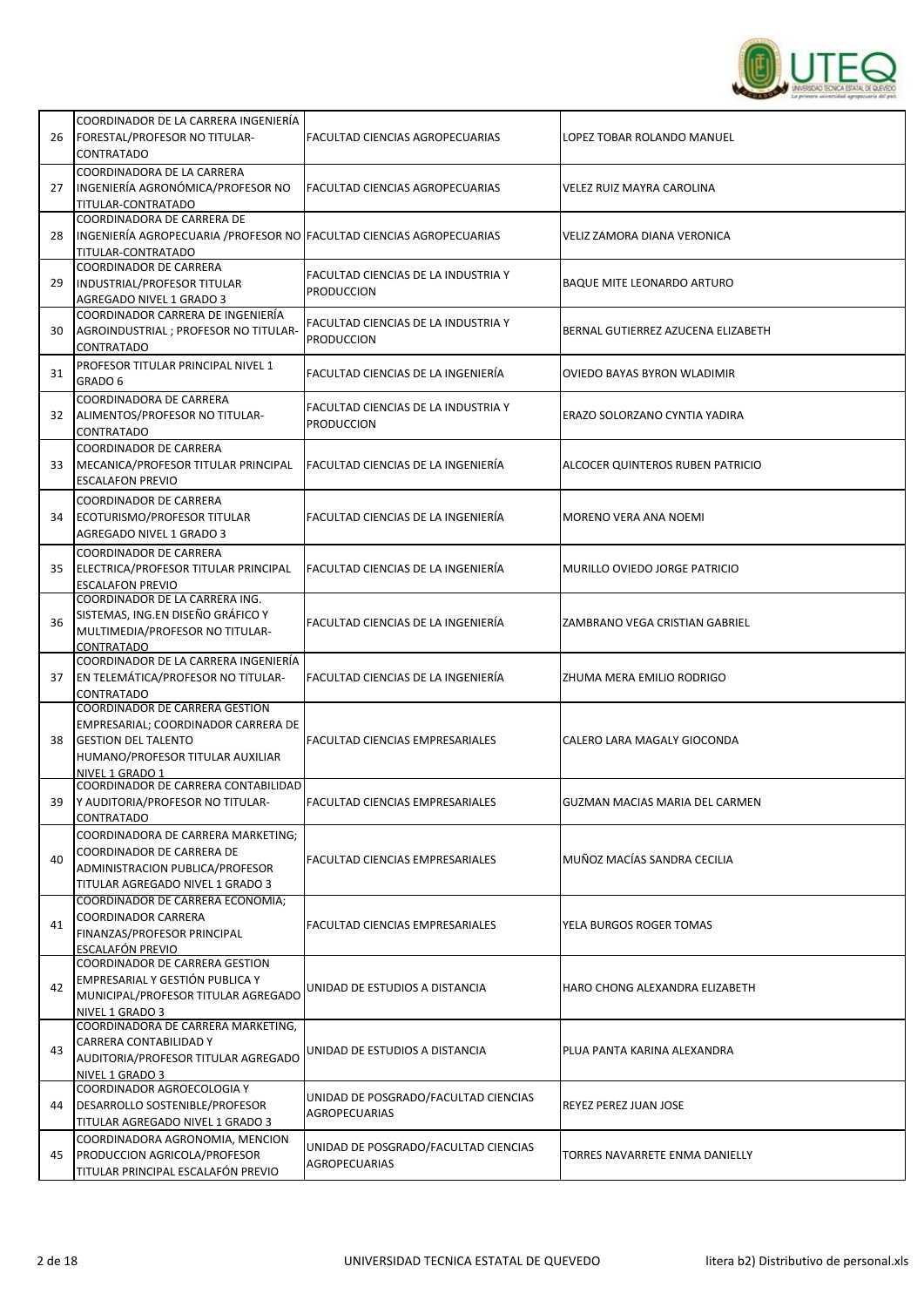

| 26 | COORDINADOR DE LA CARRERA INGENIERÍA<br>FORESTAL/PROFESOR NO TITULAR-<br>CONTRATADO                                                                               | FACULTAD CIENCIAS AGROPECUARIAS                              | LOPEZ TOBAR ROLANDO MANUEL         |
|----|-------------------------------------------------------------------------------------------------------------------------------------------------------------------|--------------------------------------------------------------|------------------------------------|
| 27 | COORDINADORA DE LA CARRERA<br>INGENIERÍA AGRONÓMICA/PROFESOR NO<br>TITULAR-CONTRATADO                                                                             | FACULTAD CIENCIAS AGROPECUARIAS                              | VELEZ RUIZ MAYRA CAROLINA          |
| 28 | COORDINADORA DE CARRERA DE<br>INGENIERÍA AGROPECUARIA / PROFESOR NO FACULTAD CIENCIAS AGROPECUARIAS<br>TITULAR-CONTRATADO                                         |                                                              | VELIZ ZAMORA DIANA VERONICA        |
| 29 | COORDINADOR DE CARRERA<br>INDUSTRIAL/PROFESOR TITULAR<br>AGREGADO NIVEL 1 GRADO 3                                                                                 | FACULTAD CIENCIAS DE LA INDUSTRIA Y<br><b>PRODUCCION</b>     | <b>BAQUE MITE LEONARDO ARTURO</b>  |
| 30 | COORDINADOR CARRERA DE INGENIERÍA<br>AGROINDUSTRIAL ; PROFESOR NO TITULAR-<br>CONTRATADO                                                                          | FACULTAD CIENCIAS DE LA INDUSTRIA Y<br><b>PRODUCCION</b>     | BERNAL GUTIERREZ AZUCENA ELIZABETH |
| 31 | PROFESOR TITULAR PRINCIPAL NIVEL 1<br>GRADO 6                                                                                                                     | FACULTAD CIENCIAS DE LA INGENIERÍA                           | OVIEDO BAYAS BYRON WLADIMIR        |
| 32 | COORDINADORA DE CARRERA<br>ALIMENTOS/PROFESOR NO TITULAR-<br>CONTRATADO                                                                                           | FACULTAD CIENCIAS DE LA INDUSTRIA Y<br><b>PRODUCCION</b>     | ERAZO SOLORZANO CYNTIA YADIRA      |
| 33 | <b>COORDINADOR DE CARRERA</b><br>MECANICA/PROFESOR TITULAR PRINCIPAL<br><b>ESCALAFON PREVIO</b>                                                                   | FACULTAD CIENCIAS DE LA INGENIERÍA                           | ALCOCER QUINTEROS RUBEN PATRICIO   |
| 34 | <b>COORDINADOR DE CARRERA</b><br>ECOTURISMO/PROFESOR TITULAR<br>AGREGADO NIVEL 1 GRADO 3                                                                          | FACULTAD CIENCIAS DE LA INGENIERÍA                           | MORENO VERA ANA NOEMI              |
| 35 | <b>COORDINADOR DE CARRERA</b><br>ELECTRICA/PROFESOR TITULAR PRINCIPAL<br><b>ESCALAFON PREVIO</b>                                                                  | FACULTAD CIENCIAS DE LA INGENIERÍA                           | MURILLO OVIEDO JORGE PATRICIO      |
| 36 | COORDINADOR DE LA CARRERA ING.<br>SISTEMAS, ING.EN DISEÑO GRÁFICO Y<br>MULTIMEDIA/PROFESOR NO TITULAR-<br>CONTRATADO                                              | FACULTAD CIENCIAS DE LA INGENIERÍA                           | ZAMBRANO VEGA CRISTIAN GABRIEL     |
| 37 | COORDINADOR DE LA CARRERA INGENIERÍA<br>EN TELEMÁTICA/PROFESOR NO TITULAR-<br>CONTRATADO                                                                          | FACULTAD CIENCIAS DE LA INGENIERÍA                           | ZHUMA MERA EMILIO RODRIGO          |
| 38 | <b>COORDINADOR DE CARRERA GESTION</b><br>EMPRESARIAL; COORDINADOR CARRERA DE<br><b>GESTION DEL TALENTO</b><br>HUMANO/PROFESOR TITULAR AUXILIAR<br>NIVEL 1 GRADO 1 | <b>FACULTAD CIENCIAS EMPRESARIALES</b>                       | CALERO LARA MAGALY GIOCONDA        |
| 39 | COORDINADOR DE CARRERA CONTABILIDAD<br>Y AUDITORIA/PROFESOR NO TITULAR-<br><b>CONTRATADO</b>                                                                      | FACULTAD CIENCIAS EMPRESARIALES                              | GUZMAN MACIAS MARIA DEL CARMEN     |
| 40 | COORDINADORA DE CARRERA MARKETING;<br>COORDINADOR DE CARRERA DE<br>ADMINISTRACION PUBLICA/PROFESOR<br>TITULAR AGREGADO NIVEL 1 GRADO 3                            | FACULTAD CIENCIAS EMPRESARIALES                              | MUÑOZ MACÍAS SANDRA CECILIA        |
| 41 | COORDINADOR DE CARRERA ECONOMIA;<br><b>COORDINADOR CARRERA</b><br>FINANZAS/PROFESOR PRINCIPAL<br>ESCALAFÓN PREVIO                                                 | FACULTAD CIENCIAS EMPRESARIALES                              | YELA BURGOS ROGER TOMAS            |
| 42 | COORDINADOR DE CARRERA GESTION<br>EMPRESARIAL Y GESTIÓN PUBLICA Y<br>MUNICIPAL/PROFESOR TITULAR AGREGADO<br>NIVEL 1 GRADO 3                                       | UNIDAD DE ESTUDIOS A DISTANCIA                               | HARO CHONG ALEXANDRA ELIZABETH     |
| 43 | COORDINADORA DE CARRERA MARKETING,<br>CARRERA CONTABILIDAD Y<br>AUDITORIA/PROFESOR TITULAR AGREGADO<br>NIVEL 1 GRADO 3                                            | UNIDAD DE ESTUDIOS A DISTANCIA                               | PLUA PANTA KARINA ALEXANDRA        |
| 44 | COORDINADOR AGROECOLOGIA Y<br>DESARROLLO SOSTENIBLE/PROFESOR<br>TITULAR AGREGADO NIVEL 1 GRADO 3                                                                  | UNIDAD DE POSGRADO/FACULTAD CIENCIAS<br><b>AGROPECUARIAS</b> | REYEZ PEREZ JUAN JOSE              |
| 45 | COORDINADORA AGRONOMIA, MENCION<br>PRODUCCION AGRICOLA/PROFESOR<br>TITULAR PRINCIPAL ESCALAFÓN PREVIO                                                             | UNIDAD DE POSGRADO/FACULTAD CIENCIAS<br><b>AGROPECUARIAS</b> | TORRES NAVARRETE ENMA DANIELLY     |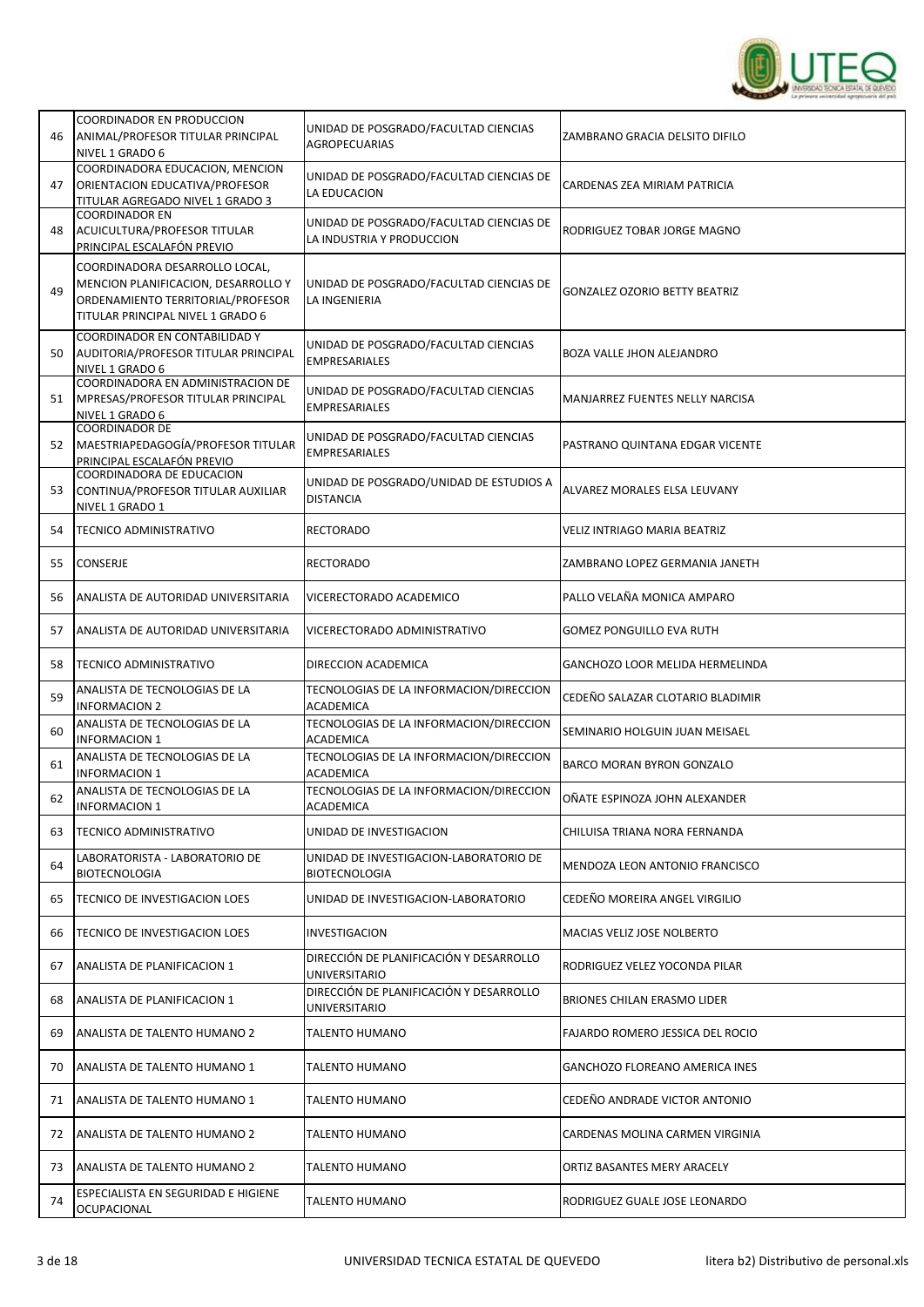

| 46 | <b>COORDINADOR EN PRODUCCION</b><br>ANIMAL/PROFESOR TITULAR PRINCIPAL<br>NIVEL 1 GRADO 6                                                        | UNIDAD DE POSGRADO/FACULTAD CIENCIAS<br>AGROPECUARIAS                | ZAMBRANO GRACIA DELSITO DIFILO        |
|----|-------------------------------------------------------------------------------------------------------------------------------------------------|----------------------------------------------------------------------|---------------------------------------|
| 47 | COORDINADORA EDUCACION, MENCION<br>ORIENTACION EDUCATIVA/PROFESOR<br>TITULAR AGREGADO NIVEL 1 GRADO 3                                           | UNIDAD DE POSGRADO/FACULTAD CIENCIAS DE<br>LA EDUCACION              | CARDENAS ZEA MIRIAM PATRICIA          |
| 48 | <b>COORDINADOR EN</b><br>ACUICULTURA/PROFESOR TITULAR<br>PRINCIPAL ESCALAFÓN PREVIO                                                             | UNIDAD DE POSGRADO/FACULTAD CIENCIAS DE<br>LA INDUSTRIA Y PRODUCCION | RODRIGUEZ TOBAR JORGE MAGNO           |
| 49 | COORDINADORA DESARROLLO LOCAL,<br>MENCION PLANIFICACION, DESARROLLO Y<br>ORDENAMIENTO TERRITORIAL/PROFESOR<br>TITULAR PRINCIPAL NIVEL 1 GRADO 6 | UNIDAD DE POSGRADO/FACULTAD CIENCIAS DE<br>LA INGENIERIA             | <b>GONZALEZ OZORIO BETTY BEATRIZ</b>  |
| 50 | COORDINADOR EN CONTABILIDAD Y<br><b>AUDITORIA/PROFESOR TITULAR PRINCIPAL</b><br>NIVEL 1 GRADO 6                                                 | UNIDAD DE POSGRADO/FACULTAD CIENCIAS<br><b>EMPRESARIALES</b>         | BOZA VALLE JHON ALEJANDRO             |
| 51 | COORDINADORA EN ADMINISTRACION DE<br>MPRESAS/PROFESOR TITULAR PRINCIPAL<br>NIVEL 1 GRADO 6                                                      | UNIDAD DE POSGRADO/FACULTAD CIENCIAS<br><b>EMPRESARIALES</b>         | MANJARREZ FUENTES NELLY NARCISA       |
| 52 | <b>COORDINADOR DE</b><br>MAESTRIAPEDAGOGÍA/PROFESOR TITULAR<br>PRINCIPAL ESCALAFÓN PREVIO                                                       | UNIDAD DE POSGRADO/FACULTAD CIENCIAS<br><b>EMPRESARIALES</b>         | PASTRANO QUINTANA EDGAR VICENTE       |
| 53 | COORDINADORA DE EDUCACION<br>CONTINUA/PROFESOR TITULAR AUXILIAR<br>NIVEL 1 GRADO 1                                                              | UNIDAD DE POSGRADO/UNIDAD DE ESTUDIOS A<br><b>DISTANCIA</b>          | ALVAREZ MORALES ELSA LEUVANY          |
| 54 | <b>TECNICO ADMINISTRATIVO</b>                                                                                                                   | <b>RECTORADO</b>                                                     | VELIZ INTRIAGO MARIA BEATRIZ          |
| 55 | CONSERJE                                                                                                                                        | <b>RECTORADO</b>                                                     | ZAMBRANO LOPEZ GERMANIA JANETH        |
| 56 | ANALISTA DE AUTORIDAD UNIVERSITARIA                                                                                                             | VICERECTORADO ACADEMICO                                              | PALLO VELAÑA MONICA AMPARO            |
| 57 | ANALISTA DE AUTORIDAD UNIVERSITARIA                                                                                                             | VICERECTORADO ADMINISTRATIVO                                         | <b>GOMEZ PONGUILLO EVA RUTH</b>       |
| 58 | <b>TECNICO ADMINISTRATIVO</b>                                                                                                                   | DIRECCION ACADEMICA                                                  | GANCHOZO LOOR MELIDA HERMELINDA       |
| 59 | ANALISTA DE TECNOLOGIAS DE LA<br><b>INFORMACION 2</b>                                                                                           | TECNOLOGIAS DE LA INFORMACION/DIRECCION<br>ACADEMICA                 | CEDEÑO SALAZAR CLOTARIO BLADIMIR      |
| 60 | ANALISTA DE TECNOLOGIAS DE LA<br><b>INFORMACION 1</b>                                                                                           | TECNOLOGIAS DE LA INFORMACION/DIRECCION<br>ACADEMICA                 | SEMINARIO HOLGUIN JUAN MEISAEL        |
| 61 | ANALISTA DE TECNOLOGIAS DE LA<br><b>INFORMACION 1</b>                                                                                           | TECNOLOGIAS DE LA INFORMACION/DIRECCION<br><b>ACADEMICA</b>          | <b>BARCO MORAN BYRON GONZALO</b>      |
| 62 | ANALISTA DE TECNOLOGIAS DE LA<br><b>INFORMACION 1</b>                                                                                           | TECNOLOGIAS DE LA INFORMACION/DIRECCION<br>ACADEMICA                 | OÑATE ESPINOZA JOHN ALEXANDER         |
| 63 | TECNICO ADMINISTRATIVO                                                                                                                          | UNIDAD DE INVESTIGACION                                              | CHILUISA TRIANA NORA FERNANDA         |
| 64 | LABORATORISTA - LABORATORIO DE<br><b>BIOTECNOLOGIA</b>                                                                                          | UNIDAD DE INVESTIGACION-LABORATORIO DE<br><b>BIOTECNOLOGIA</b>       | MENDOZA LEON ANTONIO FRANCISCO        |
| 65 | TECNICO DE INVESTIGACION LOES                                                                                                                   | UNIDAD DE INVESTIGACION-LABORATORIO                                  | CEDEÑO MOREIRA ANGEL VIRGILIO         |
| 66 | TECNICO DE INVESTIGACION LOES                                                                                                                   | <b>INVESTIGACION</b>                                                 | MACIAS VELIZ JOSE NOLBERTO            |
| 67 | ANALISTA DE PLANIFICACION 1                                                                                                                     | DIRECCIÓN DE PLANIFICACIÓN Y DESARROLLO<br>UNIVERSITARIO             | RODRIGUEZ VELEZ YOCONDA PILAR         |
| 68 | ANALISTA DE PLANIFICACION 1                                                                                                                     | DIRECCIÓN DE PLANIFICACIÓN Y DESARROLLO<br>UNIVERSITARIO             | BRIONES CHILAN ERASMO LIDER           |
| 69 | ANALISTA DE TALENTO HUMANO 2                                                                                                                    | <b>TALENTO HUMANO</b>                                                | FAJARDO ROMERO JESSICA DEL ROCIO      |
| 70 | ANALISTA DE TALENTO HUMANO 1                                                                                                                    | TALENTO HUMANO                                                       | <b>GANCHOZO FLOREANO AMERICA INES</b> |
| 71 | ANALISTA DE TALENTO HUMANO 1                                                                                                                    | <b>TALENTO HUMANO</b>                                                | CEDEÑO ANDRADE VICTOR ANTONIO         |
| 72 | ANALISTA DE TALENTO HUMANO 2                                                                                                                    | TALENTO HUMANO                                                       | CARDENAS MOLINA CARMEN VIRGINIA       |
| 73 | ANALISTA DE TALENTO HUMANO 2                                                                                                                    | TALENTO HUMANO                                                       | ORTIZ BASANTES MERY ARACELY           |
| 74 | ESPECIALISTA EN SEGURIDAD E HIGIENE<br>OCUPACIONAL                                                                                              | <b>TALENTO HUMANO</b>                                                | RODRIGUEZ GUALE JOSE LEONARDO         |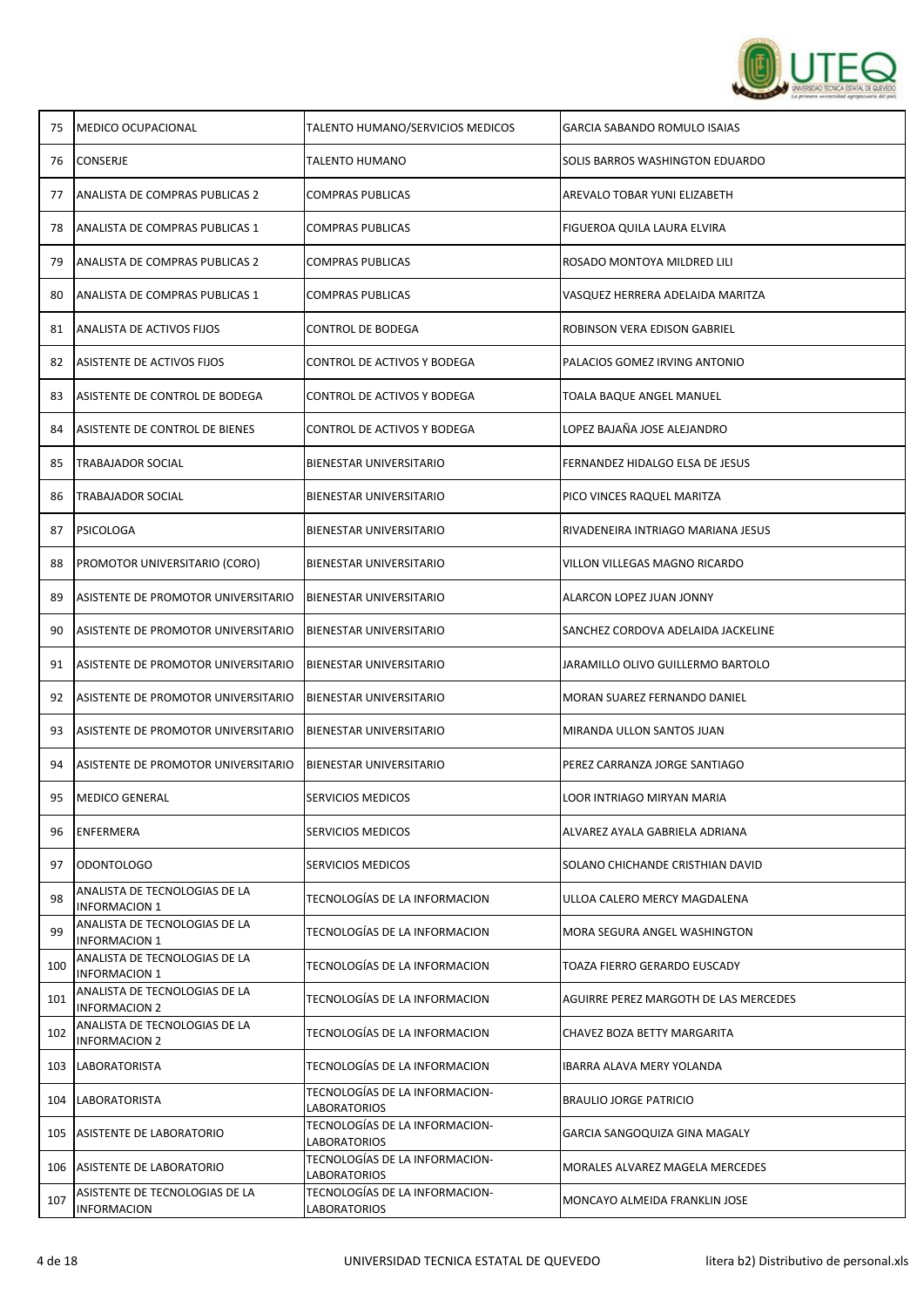

| 75  | <b>MEDICO OCUPACIONAL</b>                             | TALENTO HUMANO/SERVICIOS MEDICOS               | <b>GARCIA SABANDO ROMULO ISAIAS</b>   |
|-----|-------------------------------------------------------|------------------------------------------------|---------------------------------------|
| 76  | CONSERJE                                              | <b>TALENTO HUMANO</b>                          | SOLIS BARROS WASHINGTON EDUARDO       |
| 77  | ANALISTA DE COMPRAS PUBLICAS 2                        | <b>COMPRAS PUBLICAS</b>                        | AREVALO TOBAR YUNI ELIZABETH          |
| 78  | ANALISTA DE COMPRAS PUBLICAS 1                        | COMPRAS PUBLICAS                               | FIGUEROA QUILA LAURA ELVIRA           |
| 79  | ANALISTA DE COMPRAS PUBLICAS 2                        | <b>COMPRAS PUBLICAS</b>                        | ROSADO MONTOYA MILDRED LILI           |
| 80  | ANALISTA DE COMPRAS PUBLICAS 1                        | COMPRAS PUBLICAS                               | VASQUEZ HERRERA ADELAIDA MARITZA      |
| 81  | ANALISTA DE ACTIVOS FIJOS                             | CONTROL DE BODEGA                              | ROBINSON VERA EDISON GABRIEL          |
| 82  | ASISTENTE DE ACTIVOS FIJOS                            | CONTROL DE ACTIVOS Y BODEGA                    | PALACIOS GOMEZ IRVING ANTONIO         |
| 83  | ASISTENTE DE CONTROL DE BODEGA                        | CONTROL DE ACTIVOS Y BODEGA                    | TOALA BAQUE ANGEL MANUEL              |
| 84  | ASISTENTE DE CONTROL DE BIENES                        | CONTROL DE ACTIVOS Y BODEGA                    | LOPEZ BAJAÑA JOSE ALEJANDRO           |
| 85  | <b>TRABAJADOR SOCIAL</b>                              | BIENESTAR UNIVERSITARIO                        | FERNANDEZ HIDALGO ELSA DE JESUS       |
| 86  | <b>TRABAJADOR SOCIAL</b>                              | BIENESTAR UNIVERSITARIO                        | PICO VINCES RAQUEL MARITZA            |
| 87  | PSICOLOGA                                             | BIENESTAR UNIVERSITARIO                        | RIVADENEIRA INTRIAGO MARIANA JESUS    |
| 88  | PROMOTOR UNIVERSITARIO (CORO)                         | BIENESTAR UNIVERSITARIO                        | VILLON VILLEGAS MAGNO RICARDO         |
| 89  | ASISTENTE DE PROMOTOR UNIVERSITARIO                   | <b>BIENESTAR UNIVERSITARIO</b>                 | ALARCON LOPEZ JUAN JONNY              |
| 90  | ASISTENTE DE PROMOTOR UNIVERSITARIO                   | BIENESTAR UNIVERSITARIO                        | SANCHEZ CORDOVA ADELAIDA JACKELINE    |
| 91  | ASISTENTE DE PROMOTOR UNIVERSITARIO                   | <b>BIENESTAR UNIVERSITARIO</b>                 | JARAMILLO OLIVO GUILLERMO BARTOLO     |
| 92  | ASISTENTE DE PROMOTOR UNIVERSITARIO                   | <b>BIENESTAR UNIVERSITARIO</b>                 | MORAN SUAREZ FERNANDO DANIEL          |
| 93  | ASISTENTE DE PROMOTOR UNIVERSITARIO                   | BIENESTAR UNIVERSITARIO                        | MIRANDA ULLON SANTOS JUAN             |
| 94  | ASISTENTE DE PROMOTOR UNIVERSITARIO                   | <b>BIENESTAR UNIVERSITARIO</b>                 | PEREZ CARRANZA JORGE SANTIAGO         |
| 95  | <b>MEDICO GENERAL</b>                                 | SERVICIOS MEDICOS                              | LOOR INTRIAGO MIRYAN MARIA            |
| 96  | <b>ENFERMERA</b>                                      | SERVICIOS MEDICOS                              | ALVAREZ AYALA GABRIELA ADRIANA        |
| 97  | ODONTOLOGO                                            | SERVICIOS MEDICOS                              | SOLANO CHICHANDE CRISTHIAN DAVID      |
| 98  | ANALISTA DE TECNOLOGIAS DE LA<br><b>INFORMACION 1</b> | TECNOLOGÍAS DE LA INFORMACION                  | ULLOA CALERO MERCY MAGDALENA          |
| 99  | ANALISTA DE TECNOLOGIAS DE LA<br><b>INFORMACION 1</b> | TECNOLOGÍAS DE LA INFORMACION                  | MORA SEGURA ANGEL WASHINGTON          |
| 100 | ANALISTA DE TECNOLOGIAS DE LA<br><b>INFORMACION 1</b> | TECNOLOGÍAS DE LA INFORMACION                  | TOAZA FIERRO GERARDO EUSCADY          |
| 101 | ANALISTA DE TECNOLOGIAS DE LA<br><b>INFORMACION 2</b> | TECNOLOGÍAS DE LA INFORMACION                  | AGUIRRE PEREZ MARGOTH DE LAS MERCEDES |
| 102 | ANALISTA DE TECNOLOGIAS DE LA<br><b>INFORMACION 2</b> | TECNOLOGÍAS DE LA INFORMACION                  | CHAVEZ BOZA BETTY MARGARITA           |
| 103 | <b>LABORATORISTA</b>                                  | TECNOLOGÍAS DE LA INFORMACION                  | IBARRA ALAVA MERY YOLANDA             |
| 104 | <b>LABORATORISTA</b>                                  | TECNOLOGÍAS DE LA INFORMACION-<br>LABORATORIOS | <b>BRAULIO JORGE PATRICIO</b>         |
| 105 | ASISTENTE DE LABORATORIO                              | TECNOLOGÍAS DE LA INFORMACION-<br>LABORATORIOS | GARCIA SANGOQUIZA GINA MAGALY         |
|     | 106 ASISTENTE DE LABORATORIO                          | TECNOLOGÍAS DE LA INFORMACION-<br>LABORATORIOS | MORALES ALVAREZ MAGELA MERCEDES       |
| 107 | ASISTENTE DE TECNOLOGIAS DE LA<br><b>INFORMACION</b>  | TECNOLOGÍAS DE LA INFORMACION-<br>LABORATORIOS | MONCAYO ALMEIDA FRANKLIN JOSE         |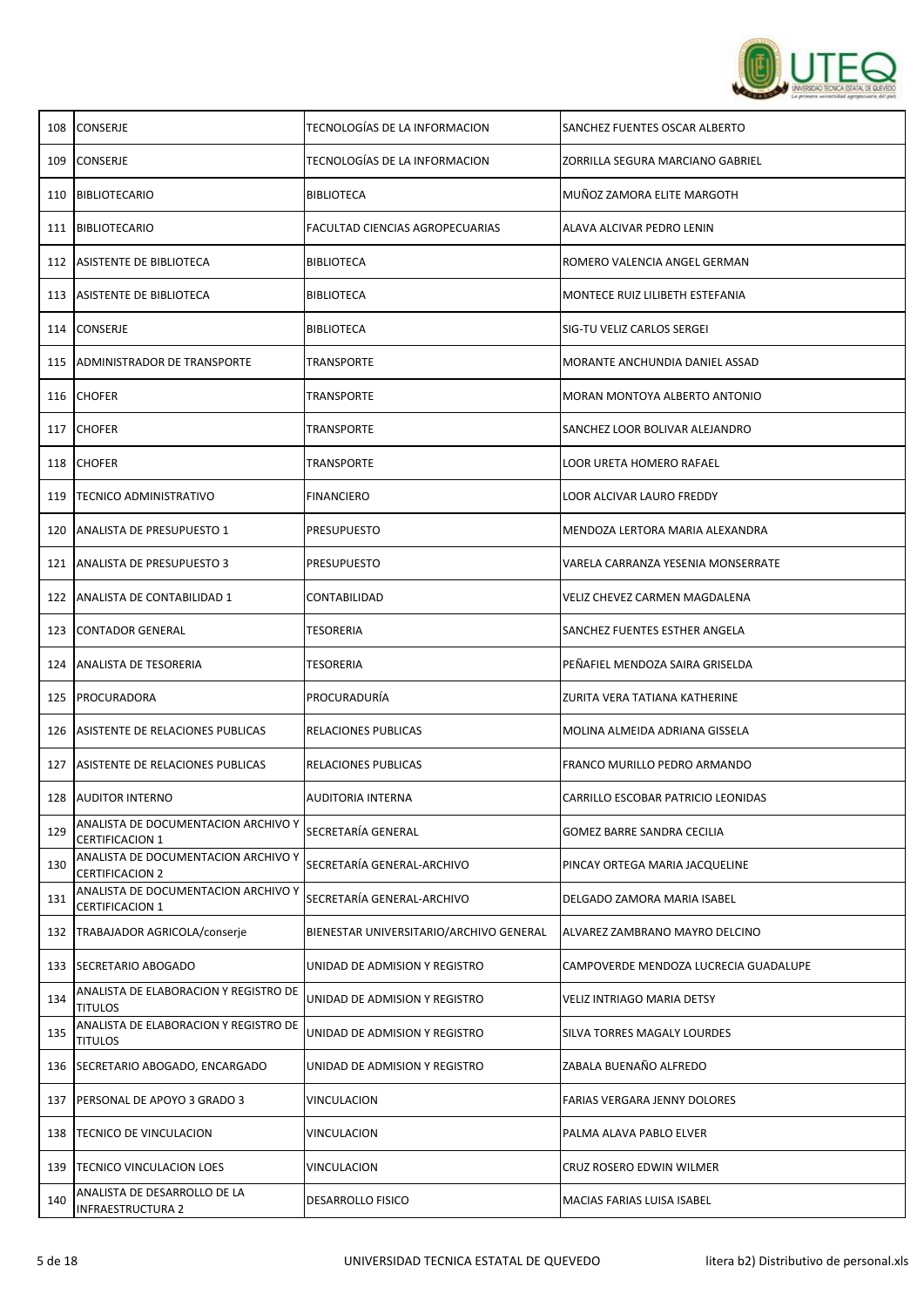

| 108 | <b>CONSERJE</b>                                               | TECNOLOGÍAS DE LA INFORMACION           | SANCHEZ FUENTES OSCAR ALBERTO         |
|-----|---------------------------------------------------------------|-----------------------------------------|---------------------------------------|
| 109 | <b>CONSERJE</b>                                               | TECNOLOGÍAS DE LA INFORMACION           | ZORRILLA SEGURA MARCIANO GABRIEL      |
| 110 | <b>BIBLIOTECARIO</b>                                          | <b>BIBLIOTECA</b>                       | MUÑOZ ZAMORA ELITE MARGOTH            |
| 111 | BIBLIOTECARIO                                                 | FACULTAD CIENCIAS AGROPECUARIAS         | ALAVA ALCIVAR PEDRO LENIN             |
| 112 | ASISTENTE DE BIBLIOTECA                                       | BIBLIOTECA                              | ROMERO VALENCIA ANGEL GERMAN          |
| 113 | ASISTENTE DE BIBLIOTECA                                       | BIBLIOTECA                              | MONTECE RUIZ LILIBETH ESTEFANIA       |
|     | 114 CONSERJE                                                  | <b>BIBLIOTECA</b>                       | SIG-TU VELIZ CARLOS SERGEI            |
| 115 | ADMINISTRADOR DE TRANSPORTE                                   | TRANSPORTE                              | MORANTE ANCHUNDIA DANIEL ASSAD        |
| 116 | <b>CHOFER</b>                                                 | TRANSPORTE                              | MORAN MONTOYA ALBERTO ANTONIO         |
| 117 | <b>CHOFER</b>                                                 | TRANSPORTE                              | SANCHEZ LOOR BOLIVAR ALEJANDRO        |
| 118 | <b>CHOFER</b>                                                 | TRANSPORTE                              | LOOR URETA HOMERO RAFAEL              |
| 119 | <b>TECNICO ADMINISTRATIVO</b>                                 | <b>FINANCIERO</b>                       | LOOR ALCIVAR LAURO FREDDY             |
| 120 | ANALISTA DE PRESUPUESTO 1                                     | PRESUPUESTO                             | MENDOZA LERTORA MARIA ALEXANDRA       |
| 121 | <b>ANALISTA DE PRESUPUESTO 3</b>                              | PRESUPUESTO                             | VARELA CARRANZA YESENIA MONSERRATE    |
| 122 | ANALISTA DE CONTABILIDAD 1                                    | CONTABILIDAD                            | <b>VELIZ CHEVEZ CARMEN MAGDALENA</b>  |
| 123 | <b>CONTADOR GENERAL</b>                                       | TESORERIA                               | SANCHEZ FUENTES ESTHER ANGELA         |
| 124 | <b>ANALISTA DE TESORERIA</b>                                  | TESORERIA                               | PEÑAFIEL MENDOZA SAIRA GRISELDA       |
| 125 | PROCURADORA                                                   | PROCURADURIA                            | ZURITA VERA TATIANA KATHERINE         |
| 126 | ASISTENTE DE RELACIONES PUBLICAS                              | RELACIONES PUBLICAS                     | MOLINA ALMEIDA ADRIANA GISSELA        |
| 127 | ASISTENTE DE RELACIONES PUBLICAS                              | RELACIONES PUBLICAS                     | FRANCO MURILLO PEDRO ARMANDO          |
| 128 | <b>AUDITOR INTERNO</b>                                        | AUDITORIA INTERNA                       | CARRILLO ESCOBAR PATRICIO LEONIDAS    |
| 129 | ANALISTA DE DOCUMENTACION ARCHIVO Y<br><b>CERTIFICACION 1</b> | SECRETARÍA GENERAL                      | GOMEZ BARRE SANDRA CECILIA            |
| 130 | ANALISTA DE DOCUMENTACION ARCHIVO Y<br><b>CERTIFICACION 2</b> | SECRETARÍA GENERAL-ARCHIVO              | PINCAY ORTEGA MARIA JACQUELINE        |
| 131 | ANALISTA DE DOCUMENTACION ARCHIVO Y<br><b>CERTIFICACION 1</b> | SECRETARÍA GENERAL-ARCHIVO              | DELGADO ZAMORA MARIA ISABEL           |
| 132 | TRABAJADOR AGRICOLA/conserje                                  | BIENESTAR UNIVERSITARIO/ARCHIVO GENERAL | ALVAREZ ZAMBRANO MAYRO DELCINO        |
| 133 | <b>SECRETARIO ABOGADO</b>                                     | UNIDAD DE ADMISION Y REGISTRO           | CAMPOVERDE MENDOZA LUCRECIA GUADALUPE |
| 134 | ANALISTA DE ELABORACION Y REGISTRO DE<br><b>TITULOS</b>       | UNIDAD DE ADMISION Y REGISTRO           | VELIZ INTRIAGO MARIA DETSY            |
| 135 | ANALISTA DE ELABORACION Y REGISTRO DE<br><b>TITULOS</b>       | UNIDAD DE ADMISION Y REGISTRO           | SILVA TORRES MAGALY LOURDES           |
| 136 | SECRETARIO ABOGADO, ENCARGADO                                 | UNIDAD DE ADMISION Y REGISTRO           | ZABALA BUENAÑO ALFREDO                |
| 137 | PERSONAL DE APOYO 3 GRADO 3                                   | VINCULACION                             | FARIAS VERGARA JENNY DOLORES          |
| 138 | TECNICO DE VINCULACION                                        | VINCULACION                             | PALMA ALAVA PABLO ELVER               |
| 139 | TECNICO VINCULACION LOES                                      | VINCULACION                             | CRUZ ROSERO EDWIN WILMER              |
| 140 | ANALISTA DE DESARROLLO DE LA<br>INFRAESTRUCTURA 2             | DESARROLLO FISICO                       | MACIAS FARIAS LUISA ISABEL            |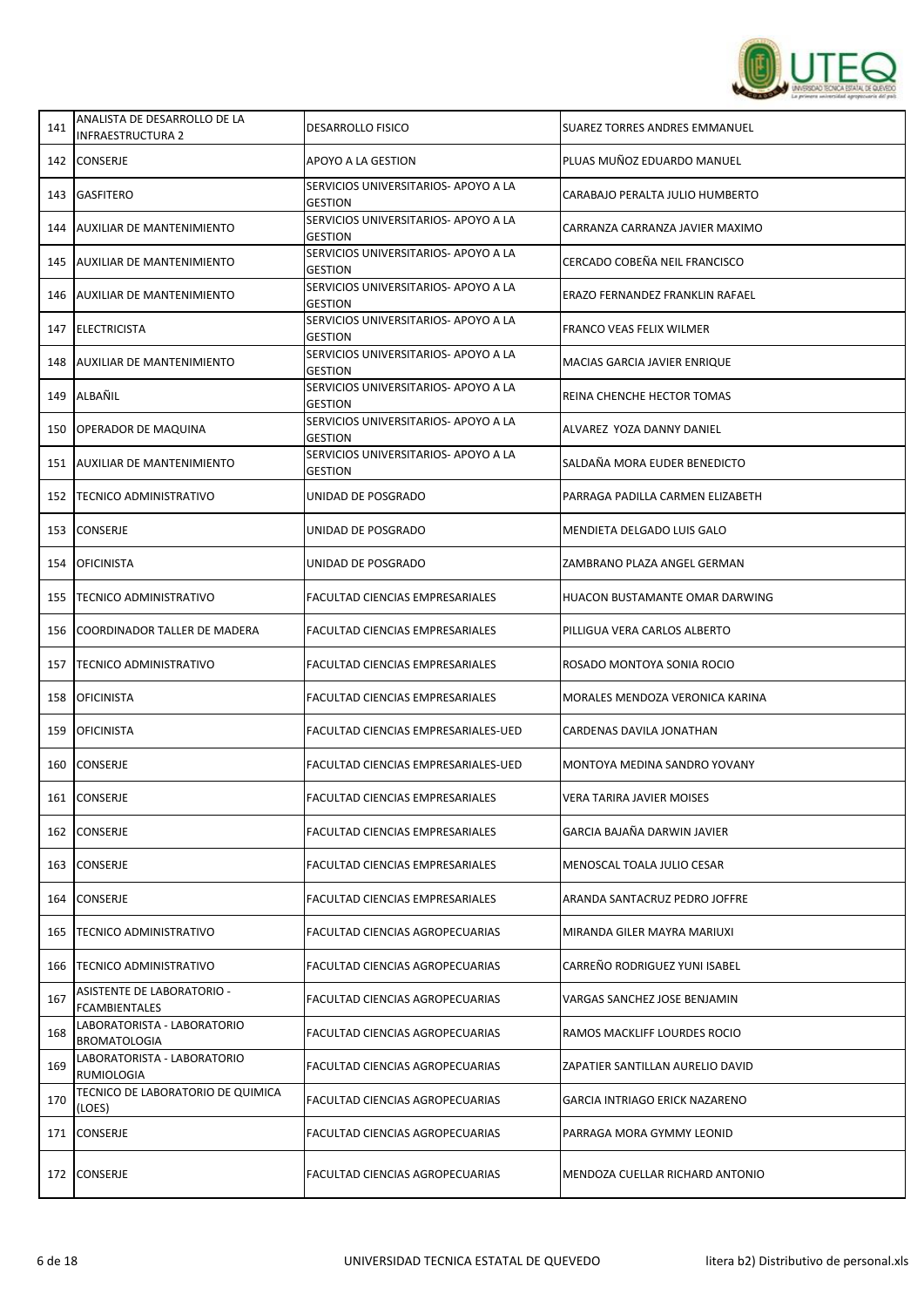

| 141 | ANALISTA DE DESARROLLO DE LA<br><b>INFRAESTRUCTURA 2</b> | <b>DESARROLLO FISICO</b>                               | SUAREZ TORRES ANDRES EMMANUEL    |
|-----|----------------------------------------------------------|--------------------------------------------------------|----------------------------------|
| 142 | <b>CONSERJE</b>                                          | APOYO A LA GESTION                                     | PLUAS MUÑOZ EDUARDO MANUEL       |
| 143 | <b>GASFITERO</b>                                         | SERVICIOS UNIVERSITARIOS- APOYO A LA<br><b>GESTION</b> | CARABAJO PERALTA JULIO HUMBERTO  |
| 144 | <b>AUXILIAR DE MANTENIMIENTO</b>                         | SERVICIOS UNIVERSITARIOS- APOYO A LA<br><b>GESTION</b> | CARRANZA CARRANZA JAVIER MAXIMO  |
| 145 | <b>AUXILIAR DE MANTENIMIENTO</b>                         | SERVICIOS UNIVERSITARIOS- APOYO A LA<br><b>GESTION</b> | CERCADO COBEÑA NEIL FRANCISCO    |
| 146 | <b>AUXILIAR DE MANTENIMIENTO</b>                         | SERVICIOS UNIVERSITARIOS- APOYO A LA<br><b>GESTION</b> | ERAZO FERNANDEZ FRANKLIN RAFAEL  |
|     | 147 ELECTRICISTA                                         | SERVICIOS UNIVERSITARIOS- APOYO A LA<br><b>GESTION</b> | FRANCO VEAS FELIX WILMER         |
| 148 | <b>AUXILIAR DE MANTENIMIENTO</b>                         | SERVICIOS UNIVERSITARIOS- APOYO A LA<br><b>GESTION</b> | MACIAS GARCIA JAVIER ENRIQUE     |
| 149 | ALBAÑIL                                                  | SERVICIOS UNIVERSITARIOS- APOYO A LA<br><b>GESTION</b> | REINA CHENCHE HECTOR TOMAS       |
| 150 | OPERADOR DE MAQUINA                                      | SERVICIOS UNIVERSITARIOS- APOYO A LA<br><b>GESTION</b> | ALVAREZ YOZA DANNY DANIEL        |
| 151 | <b>AUXILIAR DE MANTENIMIENTO</b>                         | SERVICIOS UNIVERSITARIOS- APOYO A LA<br><b>GESTION</b> | SALDAÑA MORA EUDER BENEDICTO     |
|     | 152   TECNICO ADMINISTRATIVO                             | UNIDAD DE POSGRADO                                     | PARRAGA PADILLA CARMEN ELIZABETH |
| 153 | <b>CONSERJE</b>                                          | UNIDAD DE POSGRADO                                     | MENDIETA DELGADO LUIS GALO       |
| 154 | <b>OFICINISTA</b>                                        | UNIDAD DE POSGRADO                                     | ZAMBRANO PLAZA ANGEL GERMAN      |
| 155 | <b>TECNICO ADMINISTRATIVO</b>                            | FACULTAD CIENCIAS EMPRESARIALES                        | HUACON BUSTAMANTE OMAR DARWING   |
| 156 | COORDINADOR TALLER DE MADERA                             | FACULTAD CIENCIAS EMPRESARIALES                        | PILLIGUA VERA CARLOS ALBERTO     |
| 157 | <b>TECNICO ADMINISTRATIVO</b>                            | FACULTAD CIENCIAS EMPRESARIALES                        | ROSADO MONTOYA SONIA ROCIO       |
| 158 | <b>OFICINISTA</b>                                        | FACULTAD CIENCIAS EMPRESARIALES                        | MORALES MENDOZA VERONICA KARINA  |
| 159 | <b>OFICINISTA</b>                                        | FACULTAD CIENCIAS EMPRESARIALES-UED                    | CARDENAS DAVILA JONATHAN         |
| 160 | <b>CONSERJE</b>                                          | FACULTAD CIENCIAS EMPRESARIALES-UED                    | MONTOYA MEDINA SANDRO YOVANY     |
| 161 | <b>CONSERJE</b>                                          | <b>FACULTAD CIENCIAS EMPRESARIALES</b>                 | VERA TARIRA JAVIER MOISES        |
| 162 | <b>CONSERJE</b>                                          | FACULTAD CIENCIAS EMPRESARIALES                        | GARCIA BAJAÑA DARWIN JAVIER      |
| 163 | <b>CONSERJE</b>                                          | FACULTAD CIENCIAS EMPRESARIALES                        | MENOSCAL TOALA JULIO CESAR       |
| 164 | <b>CONSERJE</b>                                          | <b>FACULTAD CIENCIAS EMPRESARIALES</b>                 | ARANDA SANTACRUZ PEDRO JOFFRE    |
| 165 | <b>TECNICO ADMINISTRATIVO</b>                            | FACULTAD CIENCIAS AGROPECUARIAS                        | MIRANDA GILER MAYRA MARIUXI      |
| 166 | <b>TECNICO ADMINISTRATIVO</b>                            | FACULTAD CIENCIAS AGROPECUARIAS                        | CARREÑO RODRIGUEZ YUNI ISABEL    |
| 167 | ASISTENTE DE LABORATORIO -<br><b>FCAMBIENTALES</b>       | FACULTAD CIENCIAS AGROPECUARIAS                        | VARGAS SANCHEZ JOSE BENJAMIN     |
| 168 | LABORATORISTA - LABORATORIO<br><b>BROMATOLOGIA</b>       | FACULTAD CIENCIAS AGROPECUARIAS                        | RAMOS MACKLIFF LOURDES ROCIO     |
| 169 | LABORATORISTA - LABORATORIO<br>RUMIOLOGIA                | FACULTAD CIENCIAS AGROPECUARIAS                        | ZAPATIER SANTILLAN AURELIO DAVID |
| 170 | TECNICO DE LABORATORIO DE QUIMICA<br>(LOES)              | FACULTAD CIENCIAS AGROPECUARIAS                        | GARCIA INTRIAGO ERICK NAZARENO   |
| 171 | <b>CONSERJE</b>                                          | FACULTAD CIENCIAS AGROPECUARIAS                        | PARRAGA MORA GYMMY LEONID        |
| 172 | <b>CONSERJE</b>                                          | FACULTAD CIENCIAS AGROPECUARIAS                        | MENDOZA CUELLAR RICHARD ANTONIO  |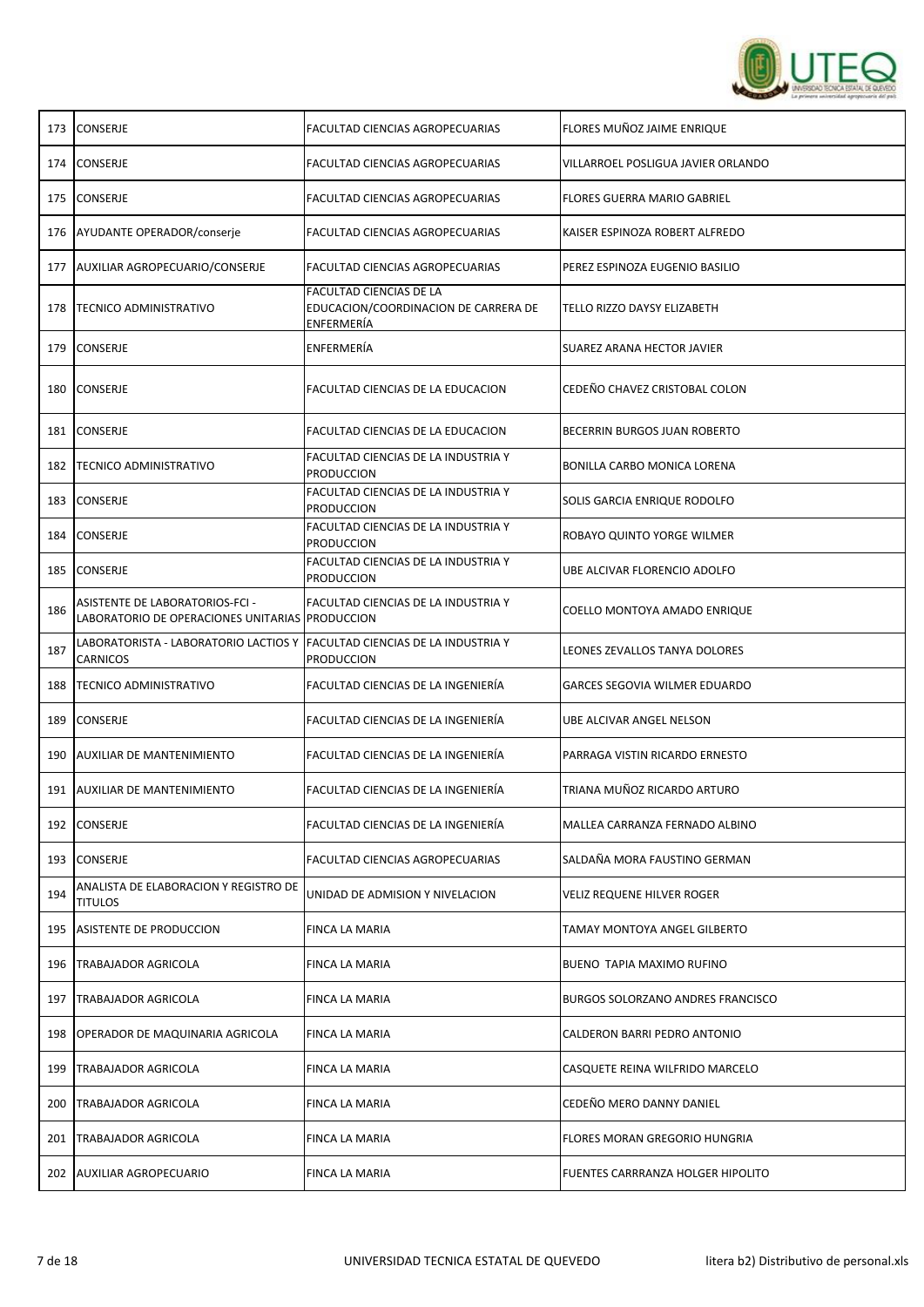

| <b>CONSERJE</b>                                         | FACULTAD CIENCIAS AGROPECUARIAS                                               | FLORES MUÑOZ JAIME ENRIQUE                                                             |
|---------------------------------------------------------|-------------------------------------------------------------------------------|----------------------------------------------------------------------------------------|
| <b>CONSERJE</b>                                         | FACULTAD CIENCIAS AGROPECUARIAS                                               | VILLARROEL POSLIGUA JAVIER ORLANDO                                                     |
| <b>CONSERJE</b>                                         | <b>FACULTAD CIENCIAS AGROPECUARIAS</b>                                        | <b>FLORES GUERRA MARIO GABRIEL</b>                                                     |
| AYUDANTE OPERADOR/conserje                              | <b>FACULTAD CIENCIAS AGROPECUARIAS</b>                                        | KAISER ESPINOZA ROBERT ALFREDO                                                         |
| AUXILIAR AGROPECUARIO/CONSERJE                          | FACULTAD CIENCIAS AGROPECUARIAS                                               | PEREZ ESPINOZA EUGENIO BASILIO                                                         |
| <b>TECNICO ADMINISTRATIVO</b>                           | FACULTAD CIENCIAS DE LA<br>EDUCACION/COORDINACION DE CARRERA DE<br>ENFERMERÍA | TELLO RIZZO DAYSY ELIZABETH                                                            |
| <b>CONSERJE</b>                                         | ENFERMERÍA                                                                    | SUAREZ ARANA HECTOR JAVIER                                                             |
| <b>CONSERJE</b>                                         | FACULTAD CIENCIAS DE LA EDUCACION                                             | CEDEÑO CHAVEZ CRISTOBAL COLON                                                          |
| <b>CONSERJE</b>                                         | FACULTAD CIENCIAS DE LA EDUCACION                                             | BECERRIN BURGOS JUAN ROBERTO                                                           |
| <b>TECNICO ADMINISTRATIVO</b>                           | FACULTAD CIENCIAS DE LA INDUSTRIA Y<br><b>PRODUCCION</b>                      | BONILLA CARBO MONICA LORENA                                                            |
| <b>CONSERJE</b>                                         | FACULTAD CIENCIAS DE LA INDUSTRIA Y<br><b>PRODUCCION</b>                      | SOLIS GARCIA ENRIQUE RODOLFO                                                           |
| <b>CONSERJE</b>                                         | FACULTAD CIENCIAS DE LA INDUSTRIA Y<br><b>PRODUCCION</b>                      | ROBAYO QUINTO YORGE WILMER                                                             |
| CONSERJE                                                | FACULTAD CIENCIAS DE LA INDUSTRIA Y<br><b>PRODUCCION</b>                      | UBE ALCIVAR FLORENCIO ADOLFO                                                           |
| ASISTENTE DE LABORATORIOS-FCI -                         | FACULTAD CIENCIAS DE LA INDUSTRIA Y                                           | COELLO MONTOYA AMADO ENRIQUE                                                           |
| LABORATORISTA - LABORATORIO LACTIOS Y<br>CARNICOS       | <b>PRODUCCION</b>                                                             | LEONES ZEVALLOS TANYA DOLORES                                                          |
| <b>TECNICO ADMINISTRATIVO</b>                           | FACULTAD CIENCIAS DE LA INGENIERÍA                                            | GARCES SEGOVIA WILMER EDUARDO                                                          |
| <b>CONSERJE</b>                                         | FACULTAD CIENCIAS DE LA INGENIERÍA                                            | UBE ALCIVAR ANGEL NELSON                                                               |
| <b>AUXILIAR DE MANTENIMIENTO</b>                        | FACULTAD CIENCIAS DE LA INGENIERÍA                                            | PARRAGA VISTIN RICARDO ERNESTO                                                         |
| <b>AUXILIAR DE MANTENIMIENTO</b>                        | FACULTAD CIENCIAS DE LA INGENIERÍA                                            | TRIANA MUÑOZ RICARDO ARTURO                                                            |
| CONSERJE                                                | FACULTAD CIENCIAS DE LA INGENIERÍA                                            | MALLEA CARRANZA FERNADO ALBINO                                                         |
| 193 CONSERJE                                            | FACULTAD CIENCIAS AGROPECUARIAS                                               | SALDAÑA MORA FAUSTINO GERMAN                                                           |
| ANALISTA DE ELABORACION Y REGISTRO DE<br><b>TITULOS</b> | UNIDAD DE ADMISION Y NIVELACION                                               | VELIZ REQUENE HILVER ROGER                                                             |
| ASISTENTE DE PRODUCCION                                 | FINCA LA MARIA                                                                | TAMAY MONTOYA ANGEL GILBERTO                                                           |
| TRABAJADOR AGRICOLA                                     | FINCA LA MARIA                                                                | BUENO TAPIA MAXIMO RUFINO                                                              |
| <b>TRABAJADOR AGRICOLA</b>                              | FINCA LA MARIA                                                                | <b>BURGOS SOLORZANO ANDRES FRANCISCO</b>                                               |
| OPERADOR DE MAQUINARIA AGRICOLA                         | FINCA LA MARIA                                                                | CALDERON BARRI PEDRO ANTONIO                                                           |
| <b>TRABAJADOR AGRICOLA</b>                              | FINCA LA MARIA                                                                | CASQUETE REINA WILFRIDO MARCELO                                                        |
| TRABAJADOR AGRICOLA                                     | FINCA LA MARIA                                                                | CEDEÑO MERO DANNY DANIEL                                                               |
| <b>TRABAJADOR AGRICOLA</b>                              | FINCA LA MARIA                                                                | FLORES MORAN GREGORIO HUNGRIA                                                          |
| <b>AUXILIAR AGROPECUARIO</b>                            | FINCA LA MARIA                                                                | FUENTES CARRRANZA HOLGER HIPOLITO                                                      |
|                                                         |                                                                               | LABORATORIO DE OPERACIONES UNITARIAS PRODUCCION<br>FACULTAD CIENCIAS DE LA INDUSTRIA Y |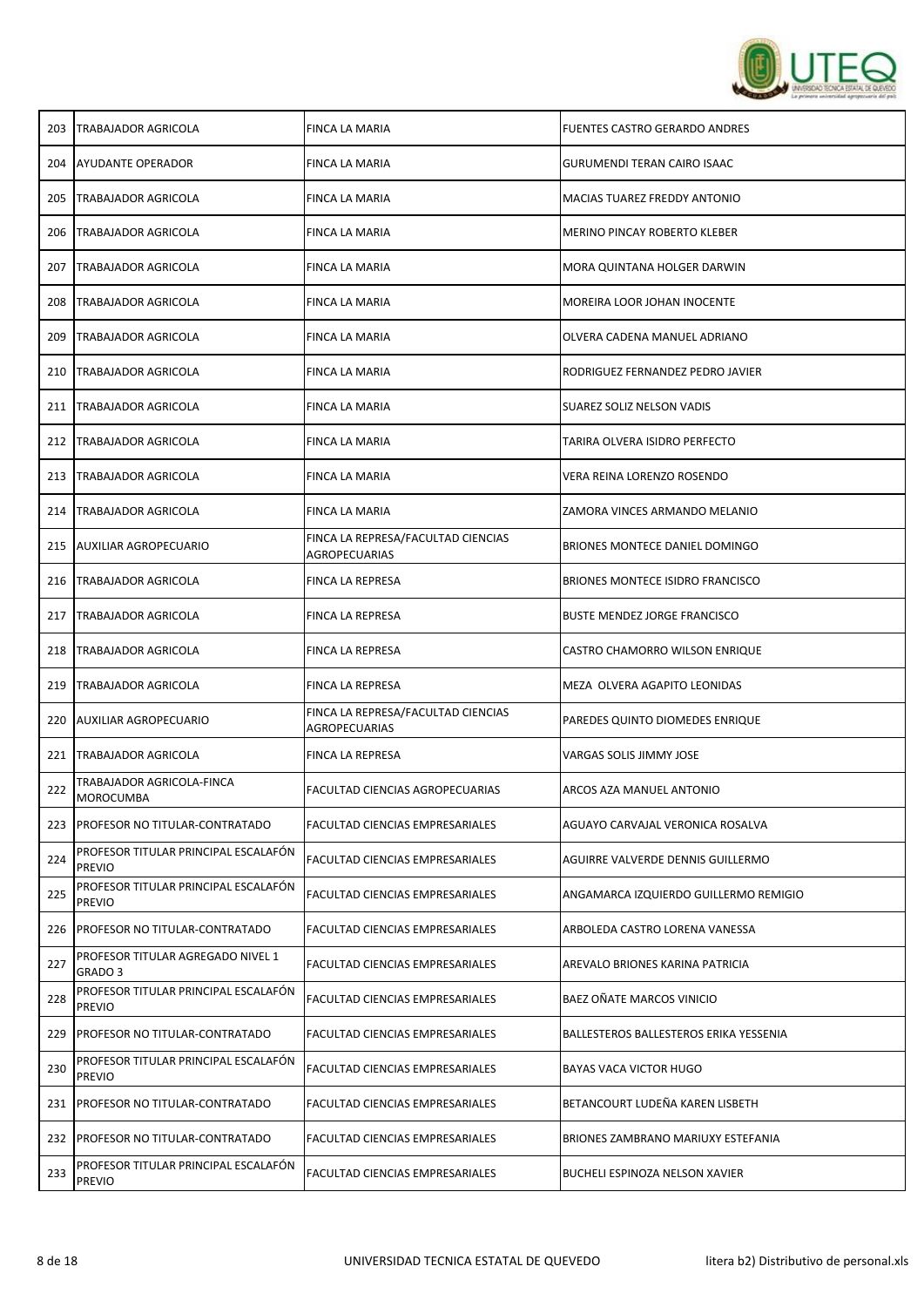

| <b>TRABAJADOR AGRICOLA</b>                              | FINCA LA MARIA                                             | <b>FUENTES CASTRO GERARDO ANDRES</b>    |
|---------------------------------------------------------|------------------------------------------------------------|-----------------------------------------|
| <b>AYUDANTE OPERADOR</b>                                | FINCA LA MARIA                                             | GURUMENDI TERAN CAIRO ISAAC             |
| <b>TRABAJADOR AGRICOLA</b>                              | FINCA LA MARIA                                             | MACIAS TUAREZ FREDDY ANTONIO            |
| <b>TRABAJADOR AGRICOLA</b>                              | FINCA LA MARIA                                             | MERINO PINCAY ROBERTO KLEBER            |
| <b>TRABAJADOR AGRICOLA</b>                              | FINCA LA MARIA                                             | MORA QUINTANA HOLGER DARWIN             |
| TRABAJADOR AGRICOLA                                     | FINCA LA MARIA                                             | MOREIRA LOOR JOHAN INOCENTE             |
| <b>TRABAJADOR AGRICOLA</b>                              | FINCA LA MARIA                                             | OLVERA CADENA MANUEL ADRIANO            |
| TRABAJADOR AGRICOLA                                     | FINCA LA MARIA                                             | RODRIGUEZ FERNANDEZ PEDRO JAVIER        |
| TRABAJADOR AGRICOLA                                     | FINCA LA MARIA                                             | SUAREZ SOLIZ NELSON VADIS               |
| 212 TRABAJADOR AGRICOLA                                 | FINCA LA MARIA                                             | TARIRA OLVERA ISIDRO PERFECTO           |
| <b>TRABAJADOR AGRICOLA</b>                              | FINCA LA MARIA                                             | VERA REINA LORENZO ROSENDO              |
| <b>TRABAJADOR AGRICOLA</b>                              | <b>FINCA LA MARIA</b>                                      | ZAMORA VINCES ARMANDO MELANIO           |
| <b>AUXILIAR AGROPECUARIO</b>                            | FINCA LA REPRESA/FACULTAD CIENCIAS<br>AGROPECUARIAS        | BRIONES MONTECE DANIEL DOMINGO          |
| <b>TRABAJADOR AGRICOLA</b>                              | FINCA LA REPRESA                                           | <b>BRIONES MONTECE ISIDRO FRANCISCO</b> |
| <b>TRABAJADOR AGRICOLA</b>                              | FINCA LA REPRESA                                           | <b>BUSTE MENDEZ JORGE FRANCISCO</b>     |
| <b>TRABAJADOR AGRICOLA</b>                              | FINCA LA REPRESA                                           | CASTRO CHAMORRO WILSON ENRIQUE          |
| TRABAJADOR AGRICOLA                                     | FINCA LA REPRESA                                           | MEZA OLVERA AGAPITO LEONIDAS            |
| <b>AUXILIAR AGROPECUARIO</b>                            | FINCA LA REPRESA/FACULTAD CIENCIAS<br><b>AGROPECUARIAS</b> | PAREDES QUINTO DIOMEDES ENRIQUE         |
| <b>TRABAJADOR AGRICOLA</b>                              | FINCA LA REPRESA                                           | VARGAS SOLIS JIMMY JOSE                 |
| TRABAJADOR AGRICOLA-FINCA<br><b>MOROCUMBA</b>           | FACULTAD CIENCIAS AGROPECUARIAS                            | ARCOS AZA MANUEL ANTONIO                |
| PROFESOR NO TITULAR-CONTRATADO                          | FACULTAD CIENCIAS EMPRESARIALES                            | AGUAYO CARVAJAL VERONICA ROSALVA        |
| PROFESOR TITULAR PRINCIPAL ESCALAFÓN<br>PREVIO          | FACULTAD CIENCIAS EMPRESARIALES                            | AGUIRRE VALVERDE DENNIS GUILLERMO       |
| PROFESOR TITULAR PRINCIPAL ESCALAFÓN<br><b>PREVIO</b>   | FACULTAD CIENCIAS EMPRESARIALES                            | ANGAMARCA IZQUIERDO GUILLERMO REMIGIO   |
| PROFESOR NO TITULAR-CONTRATADO                          | <b>FACULTAD CIENCIAS EMPRESARIALES</b>                     | ARBOLEDA CASTRO LORENA VANESSA          |
| PROFESOR TITULAR AGREGADO NIVEL 1<br>GRADO <sub>3</sub> | FACULTAD CIENCIAS EMPRESARIALES                            | AREVALO BRIONES KARINA PATRICIA         |
| PROFESOR TITULAR PRINCIPAL ESCALAFÓN<br><b>PREVIO</b>   | FACULTAD CIENCIAS EMPRESARIALES                            | BAEZ OÑATE MARCOS VINICIO               |
| PROFESOR NO TITULAR-CONTRATADO                          | FACULTAD CIENCIAS EMPRESARIALES                            | BALLESTEROS BALLESTEROS ERIKA YESSENIA  |
| PROFESOR TITULAR PRINCIPAL ESCALAFÓN<br><b>PREVIO</b>   | FACULTAD CIENCIAS EMPRESARIALES                            | <b>BAYAS VACA VICTOR HUGO</b>           |
| PROFESOR NO TITULAR-CONTRATADO                          | FACULTAD CIENCIAS EMPRESARIALES                            | BETANCOURT LUDEÑA KAREN LISBETH         |
| <b>PROFESOR NO TITULAR-CONTRATADO</b>                   | FACULTAD CIENCIAS EMPRESARIALES                            | BRIONES ZAMBRANO MARIUXY ESTEFANIA      |
| PROFESOR TITULAR PRINCIPAL ESCALAFÓN<br><b>PREVIO</b>   | FACULTAD CIENCIAS EMPRESARIALES                            | BUCHELI ESPINOZA NELSON XAVIER          |
|                                                         |                                                            |                                         |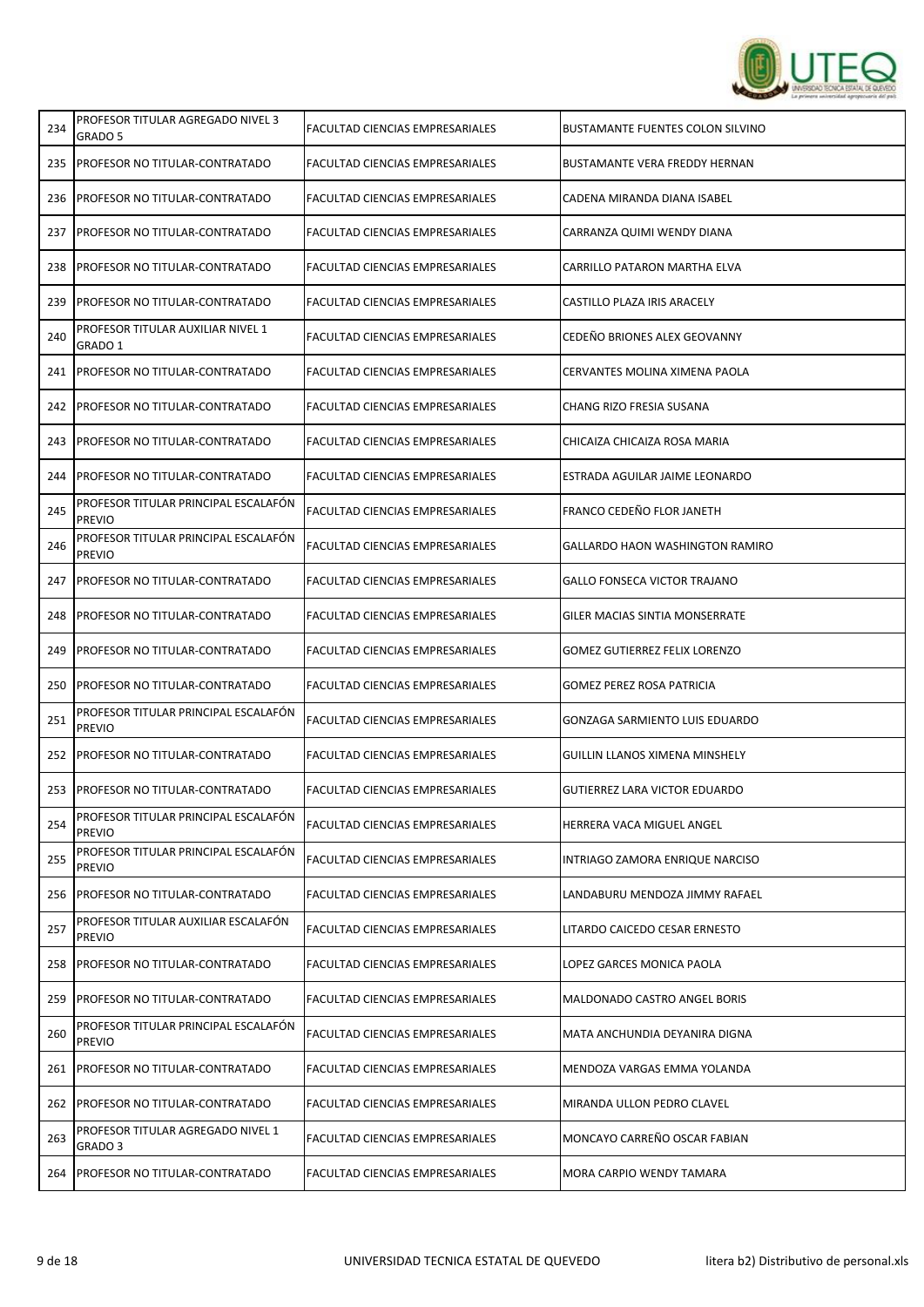

| 234 | PROFESOR TITULAR AGREGADO NIVEL 3<br>GRADO 5          | FACULTAD CIENCIAS EMPRESARIALES        | <b>BUSTAMANTE FUENTES COLON SILVINO</b> |
|-----|-------------------------------------------------------|----------------------------------------|-----------------------------------------|
| 235 | PROFESOR NO TITULAR-CONTRATADO                        | FACULTAD CIENCIAS EMPRESARIALES        | BUSTAMANTE VERA FREDDY HERNAN           |
| 236 | PROFESOR NO TITULAR-CONTRATADO                        | FACULTAD CIENCIAS EMPRESARIALES        | CADENA MIRANDA DIANA ISABEL             |
| 237 | PROFESOR NO TITULAR-CONTRATADO                        | FACULTAD CIENCIAS EMPRESARIALES        | CARRANZA QUIMI WENDY DIANA              |
| 238 | PROFESOR NO TITULAR-CONTRATADO                        | FACULTAD CIENCIAS EMPRESARIALES        | CARRILLO PATARON MARTHA ELVA            |
| 239 | PROFESOR NO TITULAR-CONTRATADO                        | FACULTAD CIENCIAS EMPRESARIALES        | CASTILLO PLAZA IRIS ARACELY             |
| 240 | PROFESOR TITULAR AUXILIAR NIVEL 1<br>GRADO 1          | FACULTAD CIENCIAS EMPRESARIALES        | CEDEÑO BRIONES ALEX GEOVANNY            |
| 241 | PROFESOR NO TITULAR-CONTRATADO                        | FACULTAD CIENCIAS EMPRESARIALES        | CERVANTES MOLINA XIMENA PAOLA           |
| 242 | PROFESOR NO TITULAR-CONTRATADO                        | FACULTAD CIENCIAS EMPRESARIALES        | CHANG RIZO FRESIA SUSANA                |
| 243 | PROFESOR NO TITULAR-CONTRATADO                        | FACULTAD CIENCIAS EMPRESARIALES        | CHICAIZA CHICAIZA ROSA MARIA            |
| 244 | <b>PROFESOR NO TITULAR-CONTRATADO</b>                 | FACULTAD CIENCIAS EMPRESARIALES        | ESTRADA AGUILAR JAIME LEONARDO          |
| 245 | PROFESOR TITULAR PRINCIPAL ESCALAFON<br><b>PREVIO</b> | FACULTAD CIENCIAS EMPRESARIALES        | FRANCO CEDEÑO FLOR JANETH               |
| 246 | PROFESOR TITULAR PRINCIPAL ESCALAFON<br><b>PREVIO</b> | FACULTAD CIENCIAS EMPRESARIALES        | GALLARDO HAON WASHINGTON RAMIRO         |
| 247 | PROFESOR NO TITULAR-CONTRATADO                        | FACULTAD CIENCIAS EMPRESARIALES        | GALLO FONSECA VICTOR TRAJANO            |
| 248 | PROFESOR NO TITULAR-CONTRATADO                        | FACULTAD CIENCIAS EMPRESARIALES        | GILER MACIAS SINTIA MONSERRATE          |
| 249 | PROFESOR NO TITULAR-CONTRATADO                        | FACULTAD CIENCIAS EMPRESARIALES        | <b>GOMEZ GUTIERREZ FELIX LORENZO</b>    |
| 250 | PROFESOR NO TITULAR-CONTRATADO                        | FACULTAD CIENCIAS EMPRESARIALES        | GOMEZ PEREZ ROSA PATRICIA               |
| 251 | PROFESOR TITULAR PRINCIPAL ESCALAFON<br><b>PREVIO</b> | FACULTAD CIENCIAS EMPRESARIALES        | GONZAGA SARMIENTO LUIS EDUARDO          |
| 252 | PROFESOR NO TITULAR-CONTRATADO                        | FACULTAD CIENCIAS EMPRESARIALES        | GUILLIN LLANOS XIMENA MINSHELY          |
| 253 | PROFESOR NO TITULAR-CONTRATADO                        | FACULTAD CIENCIAS EMPRESARIALES        | <b>GUTIERREZ LARA VICTOR EDUARDO</b>    |
| 254 | PROFESOR TITULAR PRINCIPAL ESCALAFÓN<br><b>PREVIO</b> | FACULTAD CIENCIAS EMPRESARIALES        | HERRERA VACA MIGUEL ANGEL               |
| 255 | PROFESOR TITULAR PRINCIPAL ESCALAFÓN<br><b>PREVIO</b> | FACULTAD CIENCIAS EMPRESARIALES        | INTRIAGO ZAMORA ENRIQUE NARCISO         |
| 256 | <b>PROFESOR NO TITULAR-CONTRATADO</b>                 | FACULTAD CIENCIAS EMPRESARIALES        | LANDABURU MENDOZA JIMMY RAFAEL          |
| 257 | PROFESOR TITULAR AUXILIAR ESCALAFÓN<br><b>PREVIO</b>  | <b>FACULTAD CIENCIAS EMPRESARIALES</b> | LITARDO CAICEDO CESAR ERNESTO           |
| 258 | PROFESOR NO TITULAR-CONTRATADO                        | FACULTAD CIENCIAS EMPRESARIALES        | LOPEZ GARCES MONICA PAOLA               |
| 259 | PROFESOR NO TITULAR-CONTRATADO                        | FACULTAD CIENCIAS EMPRESARIALES        | MALDONADO CASTRO ANGEL BORIS            |
| 260 | PROFESOR TITULAR PRINCIPAL ESCALAFON<br><b>PREVIO</b> | FACULTAD CIENCIAS EMPRESARIALES        | MATA ANCHUNDIA DEYANIRA DIGNA           |
| 261 | PROFESOR NO TITULAR-CONTRATADO                        | FACULTAD CIENCIAS EMPRESARIALES        | MENDOZA VARGAS EMMA YOLANDA             |
| 262 | PROFESOR NO TITULAR-CONTRATADO                        | FACULTAD CIENCIAS EMPRESARIALES        | MIRANDA ULLON PEDRO CLAVEL              |
| 263 | PROFESOR TITULAR AGREGADO NIVEL 1<br>GRADO 3          | FACULTAD CIENCIAS EMPRESARIALES        | MONCAYO CARREÑO OSCAR FABIAN            |
| 264 | <b>PROFESOR NO TITULAR-CONTRATADO</b>                 | FACULTAD CIENCIAS EMPRESARIALES        | MORA CARPIO WENDY TAMARA                |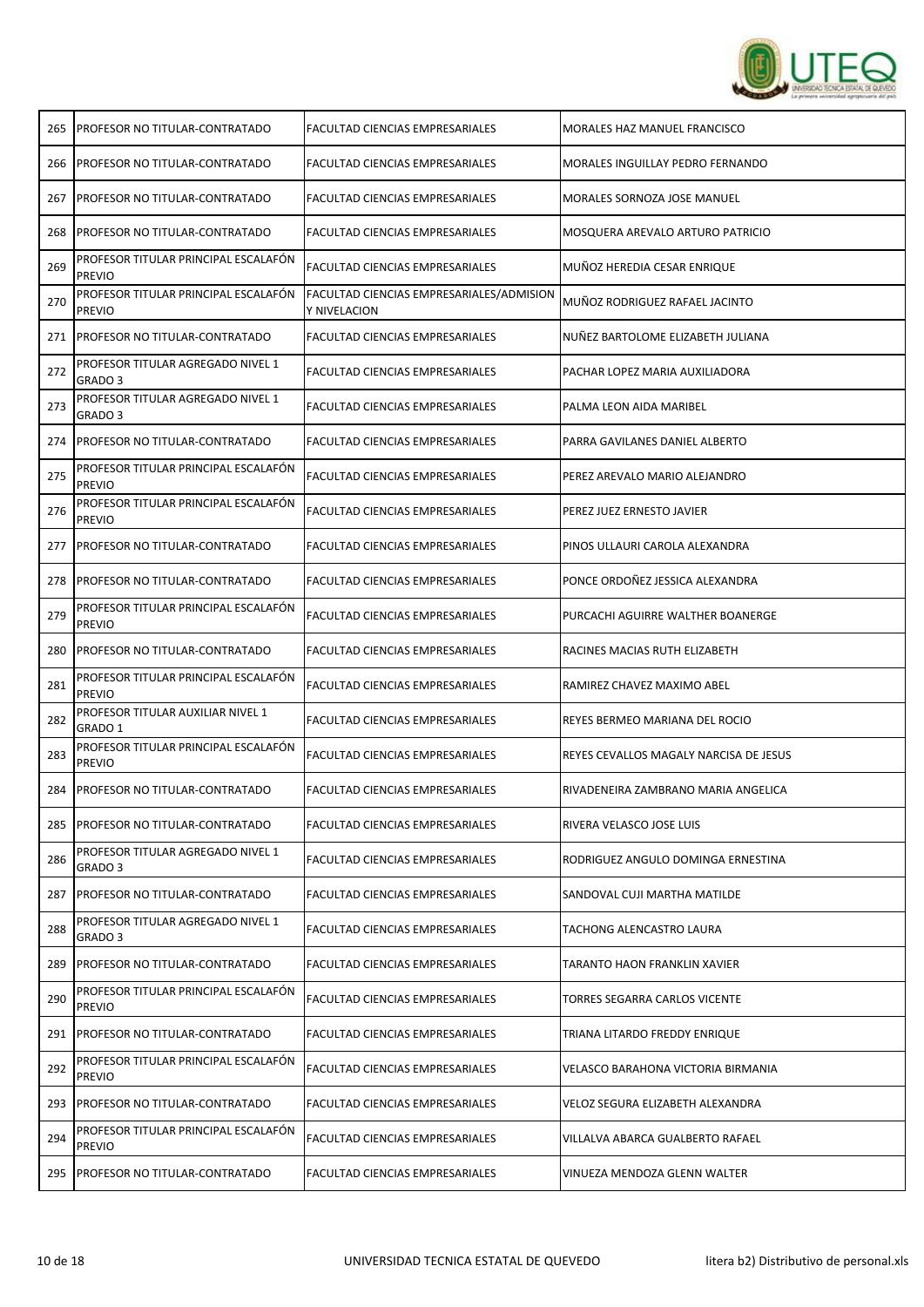

| 265 | <b>PROFESOR NO TITULAR-CONTRATADO</b>                   | FACULTAD CIENCIAS EMPRESARIALES                          | <b>MORALES HAZ MANUEL FRANCISCO</b>    |
|-----|---------------------------------------------------------|----------------------------------------------------------|----------------------------------------|
| 266 | IPROFESOR NO TITULAR-CONTRATADO                         | FACULTAD CIENCIAS EMPRESARIALES                          | MORALES INGUILLAY PEDRO FERNANDO       |
| 267 | PROFESOR NO TITULAR-CONTRATADO                          | FACULTAD CIENCIAS EMPRESARIALES                          | MORALES SORNOZA JOSE MANUEL            |
| 268 | PROFESOR NO TITULAR-CONTRATADO                          | FACULTAD CIENCIAS EMPRESARIALES                          | MOSQUERA AREVALO ARTURO PATRICIO       |
| 269 | PROFESOR TITULAR PRINCIPAL ESCALAFON<br><b>PREVIO</b>   | FACULTAD CIENCIAS EMPRESARIALES                          | MUÑOZ HEREDIA CESAR ENRIQUE            |
| 270 | PROFESOR TITULAR PRINCIPAL ESCALAFÓN<br><b>PREVIO</b>   | FACULTAD CIENCIAS EMPRESARIALES/ADMISION<br>Y NIVELACION | MUÑOZ RODRIGUEZ RAFAEL JACINTO         |
| 271 | PROFESOR NO TITULAR-CONTRATADO                          | FACULTAD CIENCIAS EMPRESARIALES                          | NUÑEZ BARTOLOME ELIZABETH JULIANA      |
| 272 | PROFESOR TITULAR AGREGADO NIVEL 1<br>GRADO 3            | FACULTAD CIENCIAS EMPRESARIALES                          | PACHAR LOPEZ MARIA AUXILIADORA         |
| 273 | PROFESOR TITULAR AGREGADO NIVEL 1<br>GRADO <sub>3</sub> | FACULTAD CIENCIAS EMPRESARIALES                          | PALMA LEON AIDA MARIBEL                |
|     | 274   PROFESOR NO TITULAR-CONTRATADO                    | FACULTAD CIENCIAS EMPRESARIALES                          | PARRA GAVILANES DANIEL ALBERTO         |
| 275 | PROFESOR TITULAR PRINCIPAL ESCALAFÓN<br><b>PREVIO</b>   | FACULTAD CIENCIAS EMPRESARIALES                          | PEREZ AREVALO MARIO ALEJANDRO          |
| 276 | PROFESOR TITULAR PRINCIPAL ESCALAFÓN<br>PREVIO          | FACULTAD CIENCIAS EMPRESARIALES                          | PEREZ JUEZ ERNESTO JAVIER              |
| 277 | PROFESOR NO TITULAR-CONTRATADO                          | FACULTAD CIENCIAS EMPRESARIALES                          | PINOS ULLAURI CAROLA ALEXANDRA         |
| 278 | PROFESOR NO TITULAR-CONTRATADO                          | FACULTAD CIENCIAS EMPRESARIALES                          | PONCE ORDOÑEZ JESSICA ALEXANDRA        |
| 279 | PROFESOR TITULAR PRINCIPAL ESCALAFÓN<br><b>PREVIO</b>   | FACULTAD CIENCIAS EMPRESARIALES                          | PURCACHI AGUIRRE WALTHER BOANERGE      |
| 280 | PROFESOR NO TITULAR-CONTRATADO                          | FACULTAD CIENCIAS EMPRESARIALES                          | RACINES MACIAS RUTH ELIZABETH          |
| 281 | PROFESOR TITULAR PRINCIPAL ESCALAFÓN<br><b>PREVIO</b>   | FACULTAD CIENCIAS EMPRESARIALES                          | RAMIREZ CHAVEZ MAXIMO ABEL             |
| 282 | PROFESOR TITULAR AUXILIAR NIVEL 1<br>GRADO 1            | FACULTAD CIENCIAS EMPRESARIALES                          | REYES BERMEO MARIANA DEL ROCIO         |
| 283 | PROFESOR TITULAR PRINCIPAL ESCALAFÓN<br><b>PREVIO</b>   | FACULTAD CIENCIAS EMPRESARIALES                          | REYES CEVALLOS MAGALY NARCISA DE JESUS |
| 284 | PROFESOR NO TITULAR-CONTRATADO                          | FACULTAD CIENCIAS EMPRESARIALES                          | RIVADENEIRA ZAMBRANO MARIA ANGELICA    |
| 285 | PROFESOR NO TITULAR-CONTRATADO                          | FACULTAD CIENCIAS EMPRESARIALES                          | RIVERA VELASCO JOSE LUIS               |
| 286 | PROFESOR TITULAR AGREGADO NIVEL 1<br>GRADO 3            | FACULTAD CIENCIAS EMPRESARIALES                          | RODRIGUEZ ANGULO DOMINGA ERNESTINA     |
| 287 | PROFESOR NO TITULAR-CONTRATADO                          | FACULTAD CIENCIAS EMPRESARIALES                          | SANDOVAL CUJI MARTHA MATILDE           |
| 288 | PROFESOR TITULAR AGREGADO NIVEL 1<br>GRADO 3            | FACULTAD CIENCIAS EMPRESARIALES                          | TACHONG ALENCASTRO LAURA               |
| 289 | PROFESOR NO TITULAR-CONTRATADO                          | FACULTAD CIENCIAS EMPRESARIALES                          | TARANTO HAON FRANKLIN XAVIER           |
| 290 | PROFESOR TITULAR PRINCIPAL ESCALAFON<br><b>PREVIO</b>   | FACULTAD CIENCIAS EMPRESARIALES                          | TORRES SEGARRA CARLOS VICENTE          |
| 291 | PROFESOR NO TITULAR-CONTRATADO                          | FACULTAD CIENCIAS EMPRESARIALES                          | TRIANA LITARDO FREDDY ENRIQUE          |
| 292 | PROFESOR TITULAR PRINCIPAL ESCALAFON<br><b>PREVIO</b>   | FACULTAD CIENCIAS EMPRESARIALES                          | VELASCO BARAHONA VICTORIA BIRMANIA     |
| 293 | PROFESOR NO TITULAR-CONTRATADO                          | FACULTAD CIENCIAS EMPRESARIALES                          | VELOZ SEGURA ELIZABETH ALEXANDRA       |
| 294 | PROFESOR TITULAR PRINCIPAL ESCALAFÓN<br><b>PREVIO</b>   | FACULTAD CIENCIAS EMPRESARIALES                          | VILLALVA ABARCA GUALBERTO RAFAEL       |
| 295 | <b>PROFESOR NO TITULAR-CONTRATADO</b>                   | FACULTAD CIENCIAS EMPRESARIALES                          | VINUEZA MENDOZA GLENN WALTER           |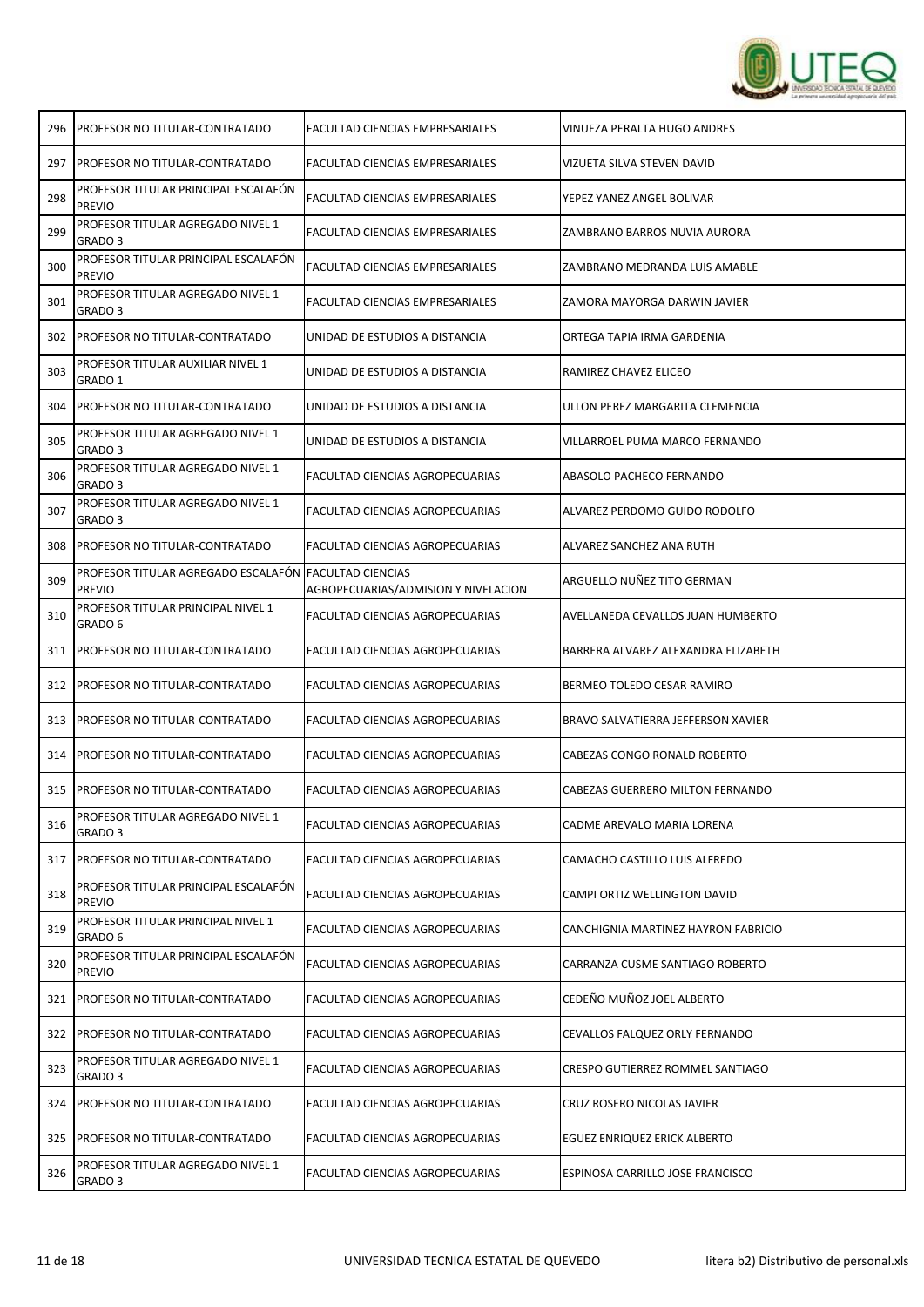

|                                                         | FACULTAD CIENCIAS EMPRESARIALES                                                                                                                                                                                                                                                                                                                                                                   | VINUEZA PERALTA HUGO ANDRES                           |
|---------------------------------------------------------|---------------------------------------------------------------------------------------------------------------------------------------------------------------------------------------------------------------------------------------------------------------------------------------------------------------------------------------------------------------------------------------------------|-------------------------------------------------------|
|                                                         | FACULTAD CIENCIAS EMPRESARIALES                                                                                                                                                                                                                                                                                                                                                                   | VIZUETA SILVA STEVEN DAVID                            |
| PROFESOR TITULAR PRINCIPAL ESCALAFÓN<br><b>PREVIO</b>   | FACULTAD CIENCIAS EMPRESARIALES                                                                                                                                                                                                                                                                                                                                                                   | YEPEZ YANEZ ANGEL BOLIVAR                             |
| PROFESOR TITULAR AGREGADO NIVEL 1<br>GRADO <sub>3</sub> | FACULTAD CIENCIAS EMPRESARIALES                                                                                                                                                                                                                                                                                                                                                                   | ZAMBRANO BARROS NUVIA AURORA                          |
| PROFESOR TITULAR PRINCIPAL ESCALAFÓN<br><b>PREVIO</b>   | FACULTAD CIENCIAS EMPRESARIALES                                                                                                                                                                                                                                                                                                                                                                   | ZAMBRANO MEDRANDA LUIS AMABLE                         |
| PROFESOR TITULAR AGREGADO NIVEL 1<br>GRADO 3            | FACULTAD CIENCIAS EMPRESARIALES                                                                                                                                                                                                                                                                                                                                                                   | ZAMORA MAYORGA DARWIN JAVIER                          |
| PROFESOR NO TITULAR-CONTRATADO                          | UNIDAD DE ESTUDIOS A DISTANCIA                                                                                                                                                                                                                                                                                                                                                                    | ORTEGA TAPIA IRMA GARDENIA                            |
| PROFESOR TITULAR AUXILIAR NIVEL 1<br>GRADO 1            | UNIDAD DE ESTUDIOS A DISTANCIA                                                                                                                                                                                                                                                                                                                                                                    | RAMIREZ CHAVEZ ELICEO                                 |
|                                                         | UNIDAD DE ESTUDIOS A DISTANCIA                                                                                                                                                                                                                                                                                                                                                                    | ULLON PEREZ MARGARITA CLEMENCIA                       |
| PROFESOR TITULAR AGREGADO NIVEL 1<br>GRADO <sub>3</sub> | UNIDAD DE ESTUDIOS A DISTANCIA                                                                                                                                                                                                                                                                                                                                                                    | VILLARROEL PUMA MARCO FERNANDO                        |
| PROFESOR TITULAR AGREGADO NIVEL 1<br>GRADO 3            | FACULTAD CIENCIAS AGROPECUARIAS                                                                                                                                                                                                                                                                                                                                                                   | ABASOLO PACHECO FERNANDO                              |
| PROFESOR TITULAR AGREGADO NIVEL 1<br>GRADO 3            | FACULTAD CIENCIAS AGROPECUARIAS                                                                                                                                                                                                                                                                                                                                                                   | ALVAREZ PERDOMO GUIDO RODOLFO                         |
| PROFESOR NO TITULAR-CONTRATADO                          | FACULTAD CIENCIAS AGROPECUARIAS                                                                                                                                                                                                                                                                                                                                                                   | ALVAREZ SANCHEZ ANA RUTH                              |
| <b>PREVIO</b>                                           | AGROPECUARIAS/ADMISION Y NIVELACION                                                                                                                                                                                                                                                                                                                                                               | ARGUELLO NUÑEZ TITO GERMAN                            |
| PROFESOR TITULAR PRINCIPAL NIVEL 1<br>GRADO 6           | FACULTAD CIENCIAS AGROPECUARIAS                                                                                                                                                                                                                                                                                                                                                                   | AVELLANEDA CEVALLOS JUAN HUMBERTO                     |
|                                                         | FACULTAD CIENCIAS AGROPECUARIAS                                                                                                                                                                                                                                                                                                                                                                   | BARRERA ALVAREZ ALEXANDRA ELIZABETH                   |
|                                                         | FACULTAD CIENCIAS AGROPECUARIAS                                                                                                                                                                                                                                                                                                                                                                   | BERMEO TOLEDO CESAR RAMIRO                            |
|                                                         | <b>FACULTAD CIENCIAS AGROPECUARIAS</b>                                                                                                                                                                                                                                                                                                                                                            | BRAVO SALVATIERRA JEFFERSON XAVIER                    |
| PROFESOR NO TITULAR-CONTRATADO                          | FACULTAD CIENCIAS AGROPECUARIAS                                                                                                                                                                                                                                                                                                                                                                   | CABEZAS CONGO RONALD ROBERTO                          |
| PROFESOR NO TITULAR-CONTRATADO                          | <b>FACULTAD CIENCIAS AGROPECUARIAS</b>                                                                                                                                                                                                                                                                                                                                                            | CABEZAS GUERRERO MILTON FERNANDO                      |
| PROFESOR TITULAR AGREGADO NIVEL 1<br>GRADO 3            | FACULTAD CIENCIAS AGROPECUARIAS                                                                                                                                                                                                                                                                                                                                                                   | CADME AREVALO MARIA LORENA                            |
|                                                         | <b>FACULTAD CIENCIAS AGROPECUARIAS</b>                                                                                                                                                                                                                                                                                                                                                            | CAMACHO CASTILLO LUIS ALFREDO                         |
| PROFESOR TITULAR PRINCIPAL ESCALAFON<br><b>PREVIO</b>   | FACULTAD CIENCIAS AGROPECUARIAS                                                                                                                                                                                                                                                                                                                                                                   | CAMPI ORTIZ WELLINGTON DAVID                          |
| PROFESOR TITULAR PRINCIPAL NIVEL 1<br>GRADO 6           | FACULTAD CIENCIAS AGROPECUARIAS                                                                                                                                                                                                                                                                                                                                                                   | CANCHIGNIA MARTINEZ HAYRON FABRICIO                   |
| PROFESOR TITULAR PRINCIPAL ESCALAFÓN<br><b>PREVIO</b>   | FACULTAD CIENCIAS AGROPECUARIAS                                                                                                                                                                                                                                                                                                                                                                   | CARRANZA CUSME SANTIAGO ROBERTO                       |
| PROFESOR NO TITULAR-CONTRATADO                          | FACULTAD CIENCIAS AGROPECUARIAS                                                                                                                                                                                                                                                                                                                                                                   | CEDEÑO MUÑOZ JOEL ALBERTO                             |
|                                                         | FACULTAD CIENCIAS AGROPECUARIAS                                                                                                                                                                                                                                                                                                                                                                   | CEVALLOS FALQUEZ ORLY FERNANDO                        |
| PROFESOR TITULAR AGREGADO NIVEL 1<br>GRADO 3            | FACULTAD CIENCIAS AGROPECUARIAS                                                                                                                                                                                                                                                                                                                                                                   | CRESPO GUTIERREZ ROMMEL SANTIAGO                      |
|                                                         | FACULTAD CIENCIAS AGROPECUARIAS                                                                                                                                                                                                                                                                                                                                                                   | CRUZ ROSERO NICOLAS JAVIER                            |
|                                                         | FACULTAD CIENCIAS AGROPECUARIAS                                                                                                                                                                                                                                                                                                                                                                   | EGUEZ ENRIQUEZ ERICK ALBERTO                          |
| PROFESOR TITULAR AGREGADO NIVEL 1<br>GRADO 3            | FACULTAD CIENCIAS AGROPECUARIAS                                                                                                                                                                                                                                                                                                                                                                   | ESPINOSA CARRILLO JOSE FRANCISCO                      |
|                                                         | <b>PROFESOR NO TITULAR-CONTRATADO</b><br><b>PROFESOR NO TITULAR-CONTRATADO</b><br>PROFESOR NO TITULAR-CONTRATADO<br><b>PROFESOR NO TITULAR-CONTRATADO</b><br>312   PROFESOR NO TITULAR-CONTRATADO<br> PROFESOR NO TITULAR-CONTRATADO<br><b>PROFESOR NO TITULAR-CONTRATADO</b><br>PROFESOR NO TITULAR-CONTRATADO<br><b>PROFESOR NO TITULAR-CONTRATADO</b><br><b>PROFESOR NO TITULAR-CONTRATADO</b> | PROFESOR TITULAR AGREGADO ESCALAFÓN FACULTAD CIENCIAS |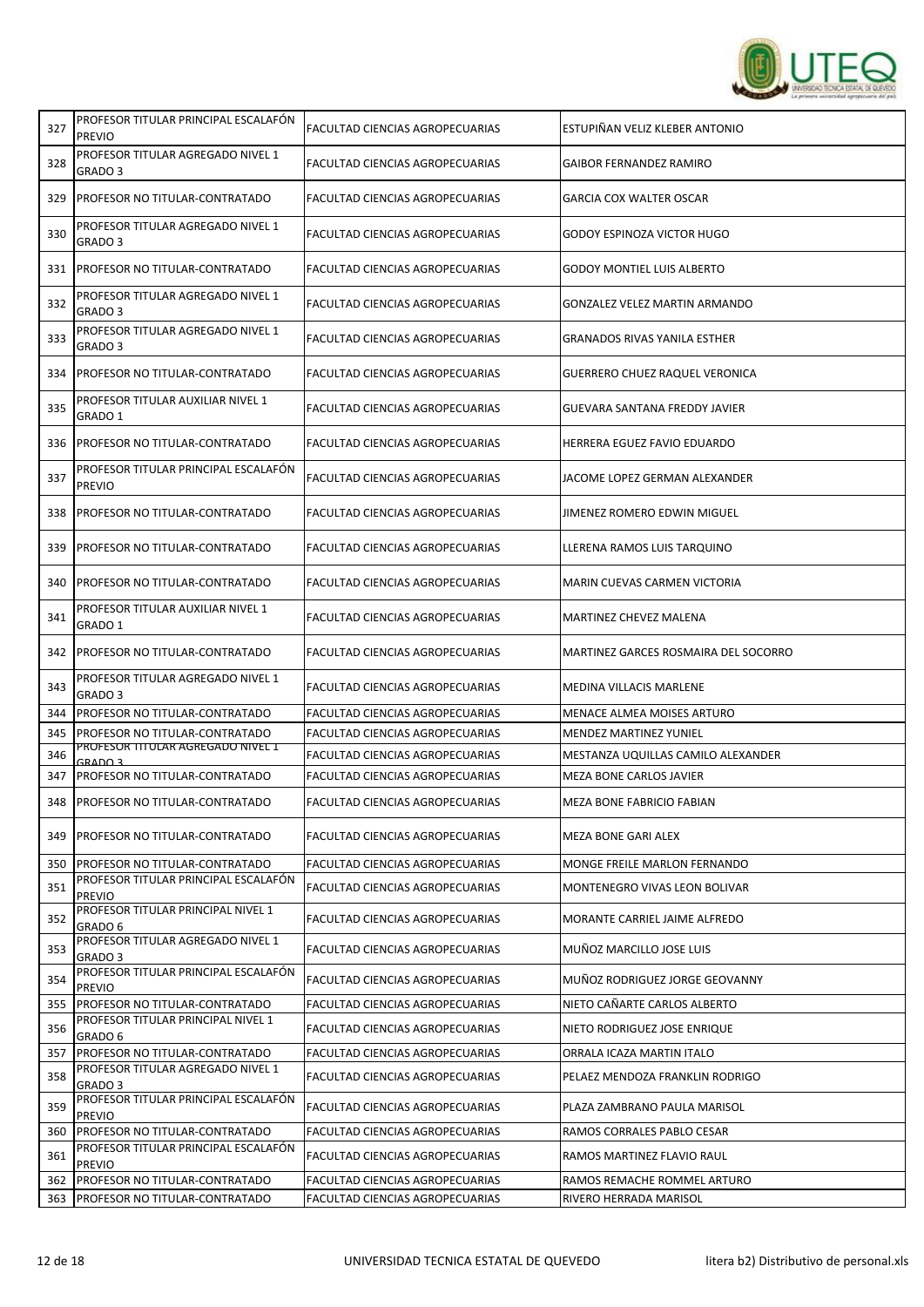

| 327 | PROFESOR TITULAR PRINCIPAL ESCALAFÓN<br><b>PREVIO</b>   | FACULTAD CIENCIAS AGROPECUARIAS | ESTUPIÑAN VELIZ KLEBER ANTONIO        |
|-----|---------------------------------------------------------|---------------------------------|---------------------------------------|
| 328 | PROFESOR TITULAR AGREGADO NIVEL 1<br>GRADO 3            | FACULTAD CIENCIAS AGROPECUARIAS | <b>GAIBOR FERNANDEZ RAMIRO</b>        |
| 329 | <b>IPROFESOR NO TITULAR-CONTRATADO</b>                  | FACULTAD CIENCIAS AGROPECUARIAS | GARCIA COX WALTER OSCAR               |
| 330 | PROFESOR TITULAR AGREGADO NIVEL 1<br>GRADO 3            | FACULTAD CIENCIAS AGROPECUARIAS | GODOY ESPINOZA VICTOR HUGO            |
| 331 | <b>I PROFESOR NO TITULAR-CONTRATADO</b>                 | FACULTAD CIENCIAS AGROPECUARIAS | <b>GODOY MONTIEL LUIS ALBERTO</b>     |
| 332 | PROFESOR TITULAR AGREGADO NIVEL 1<br>GRADO <sub>3</sub> | FACULTAD CIENCIAS AGROPECUARIAS | GONZALEZ VELEZ MARTIN ARMANDO         |
| 333 | PROFESOR TITULAR AGREGADO NIVEL 1<br>GRADO 3            | FACULTAD CIENCIAS AGROPECUARIAS | GRANADOS RIVAS YANILA ESTHER          |
| 334 | PROFESOR NO TITULAR-CONTRATADO                          | FACULTAD CIENCIAS AGROPECUARIAS | <b>GUERRERO CHUEZ RAQUEL VERONICA</b> |
| 335 | PROFESOR TITULAR AUXILIAR NIVEL 1<br>GRADO 1            | FACULTAD CIENCIAS AGROPECUARIAS | GUEVARA SANTANA FREDDY JAVIER         |
| 336 | <b>PROFESOR NO TITULAR-CONTRATADO</b>                   | FACULTAD CIENCIAS AGROPECUARIAS | HERRERA EGUEZ FAVIO EDUARDO           |
| 337 | PROFESOR TITULAR PRINCIPAL ESCALAFÓN<br><b>PREVIO</b>   | FACULTAD CIENCIAS AGROPECUARIAS | JACOME LOPEZ GERMAN ALEXANDER         |
| 338 | <b>PROFESOR NO TITULAR-CONTRATADO</b>                   | FACULTAD CIENCIAS AGROPECUARIAS | <b>JIMENEZ ROMERO EDWIN MIGUEL</b>    |
| 339 | PROFESOR NO TITULAR-CONTRATADO                          | FACULTAD CIENCIAS AGROPECUARIAS | LLERENA RAMOS LUIS TARQUINO           |
| 340 | PROFESOR NO TITULAR-CONTRATADO                          | FACULTAD CIENCIAS AGROPECUARIAS | MARIN CUEVAS CARMEN VICTORIA          |
| 341 | PROFESOR TITULAR AUXILIAR NIVEL 1<br>GRADO 1            | FACULTAD CIENCIAS AGROPECUARIAS | MARTINEZ CHEVEZ MALENA                |
| 342 | PROFESOR NO TITULAR-CONTRATADO                          | FACULTAD CIENCIAS AGROPECUARIAS | MARTINEZ GARCES ROSMAIRA DEL SOCORRO  |
| 343 | PROFESOR TITULAR AGREGADO NIVEL 1<br>GRADO 3            | FACULTAD CIENCIAS AGROPECUARIAS | <b>MEDINA VILLACIS MARLENE</b>        |
| 344 | PROFESOR NO TITULAR-CONTRATADO                          | FACULTAD CIENCIAS AGROPECUARIAS | MENACE ALMEA MOISES ARTURO            |
| 345 | PROFESOR NO TITULAR-CONTRATADO                          | FACULTAD CIENCIAS AGROPECUARIAS | <b>MENDEZ MARTINEZ YUNIEL</b>         |
| 346 | PROFESOR TITULAR AGREGADO NIVEL 1<br>GRADO 3            | FACULTAD CIENCIAS AGROPECUARIAS | MESTANZA UQUILLAS CAMILO ALEXANDER    |
| 347 | PROFESOR NO TITULAR-CONTRATADO                          | FACULTAD CIENCIAS AGROPECUARIAS | MEZA BONE CARLOS JAVIER               |
| 348 | <b>I PROFESOR NO TITULAR-CONTRATADO</b>                 | FACULTAD CIENCIAS AGROPECUARIAS | MEZA BONE FABRICIO FABIAN             |
| 349 | PROFESOR NO TITULAR-CONTRATADO                          | FACULTAD CIENCIAS AGROPECUARIAS | MEZA BONE GARI ALEX                   |
| 350 | PROFESOR NO TITULAR-CONTRATADO                          | FACULTAD CIENCIAS AGROPECUARIAS | MONGE FREILE MARLON FERNANDO          |
| 351 | PROFESOR TITULAR PRINCIPAL ESCALAFÓN<br><b>PREVIO</b>   | FACULTAD CIENCIAS AGROPECUARIAS | MONTENEGRO VIVAS LEON BOLIVAR         |
| 352 | PROFESOR TITULAR PRINCIPAL NIVEL 1<br>GRADO 6           | FACULTAD CIENCIAS AGROPECUARIAS | MORANTE CARRIEL JAIME ALFREDO         |
| 353 | PROFESOR TITULAR AGREGADO NIVEL 1<br>GRADO 3            | FACULTAD CIENCIAS AGROPECUARIAS | MUÑOZ MARCILLO JOSE LUIS              |
| 354 | PROFESOR TITULAR PRINCIPAL ESCALAFÓN<br><b>PREVIO</b>   | FACULTAD CIENCIAS AGROPECUARIAS | MUÑOZ RODRIGUEZ JORGE GEOVANNY        |
| 355 | PROFESOR NO TITULAR-CONTRATADO                          | FACULTAD CIENCIAS AGROPECUARIAS | NIETO CAÑARTE CARLOS ALBERTO          |
| 356 | PROFESOR TITULAR PRINCIPAL NIVEL 1<br>GRADO 6           | FACULTAD CIENCIAS AGROPECUARIAS | NIETO RODRIGUEZ JOSE ENRIQUE          |
| 357 | PROFESOR NO TITULAR-CONTRATADO                          | FACULTAD CIENCIAS AGROPECUARIAS | ORRALA ICAZA MARTIN ITALO             |
| 358 | PROFESOR TITULAR AGREGADO NIVEL 1<br>GRADO 3            | FACULTAD CIENCIAS AGROPECUARIAS | PELAEZ MENDOZA FRANKLIN RODRIGO       |
| 359 | PROFESOR TITULAR PRINCIPAL ESCALAFON<br><b>PREVIO</b>   | FACULTAD CIENCIAS AGROPECUARIAS | PLAZA ZAMBRANO PAULA MARISOL          |
| 360 | PROFESOR NO TITULAR-CONTRATADO                          | FACULTAD CIENCIAS AGROPECUARIAS | RAMOS CORRALES PABLO CESAR            |
| 361 | PROFESOR TITULAR PRINCIPAL ESCALAFÓN<br><b>PREVIO</b>   | FACULTAD CIENCIAS AGROPECUARIAS | RAMOS MARTINEZ FLAVIO RAUL            |
| 362 | PROFESOR NO TITULAR-CONTRATADO                          | FACULTAD CIENCIAS AGROPECUARIAS | RAMOS REMACHE ROMMEL ARTURO           |
| 363 | PROFESOR NO TITULAR-CONTRATADO                          | FACULTAD CIENCIAS AGROPECUARIAS | RIVERO HERRADA MARISOL                |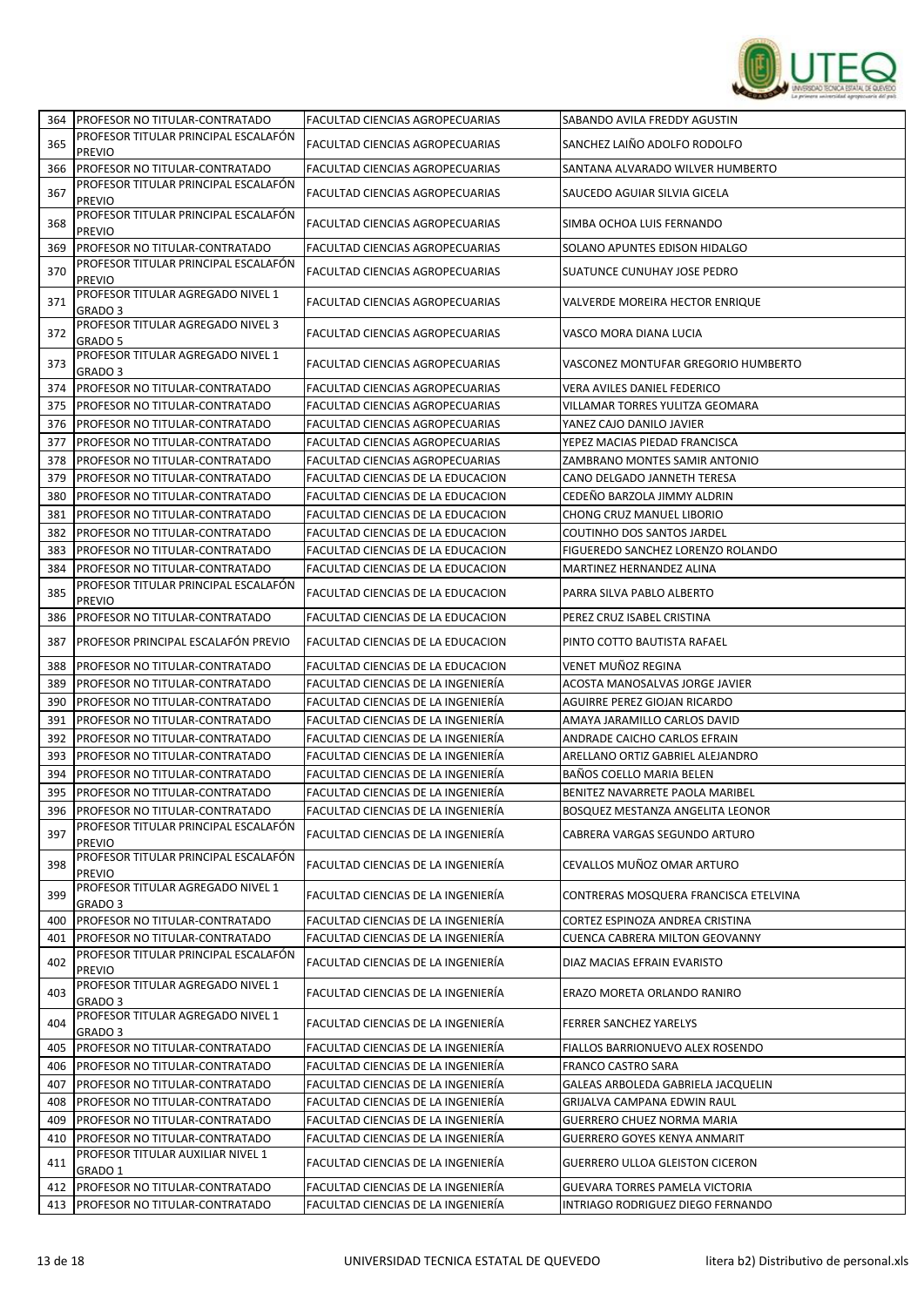

| 364        | <b>PROFESOR NO TITULAR-CONTRATADO</b>                               | FACULTAD CIENCIAS AGROPECUARIAS                                          | SABANDO AVILA FREDDY AGUSTIN                                           |
|------------|---------------------------------------------------------------------|--------------------------------------------------------------------------|------------------------------------------------------------------------|
| 365        | PROFESOR TITULAR PRINCIPAL ESCALAFÓN                                | <b>FACULTAD CIENCIAS AGROPECUARIAS</b>                                   | SANCHEZ LAIÑO ADOLFO RODOLFO                                           |
|            | <b>PREVIO</b>                                                       |                                                                          |                                                                        |
| 366        | PROFESOR NO TITULAR-CONTRATADO                                      | <b>FACULTAD CIENCIAS AGROPECUARIAS</b>                                   | SANTANA ALVARADO WILVER HUMBERTO                                       |
| 367        | PROFESOR TITULAR PRINCIPAL ESCALAFÓN<br><b>PREVIO</b>               | FACULTAD CIENCIAS AGROPECUARIAS                                          | SAUCEDO AGUIAR SILVIA GICELA                                           |
| 368        | PROFESOR TITULAR PRINCIPAL ESCALAFÓN<br><b>PREVIO</b>               | <b>FACULTAD CIENCIAS AGROPECUARIAS</b>                                   | SIMBA OCHOA LUIS FERNANDO                                              |
| 369        | PROFESOR NO TITULAR-CONTRATADO                                      | FACULTAD CIENCIAS AGROPECUARIAS                                          | SOLANO APUNTES EDISON HIDALGO                                          |
| 370        | PROFESOR TITULAR PRINCIPAL ESCALAFÓN<br><b>PREVIO</b>               | FACULTAD CIENCIAS AGROPECUARIAS                                          | SUATUNCE CUNUHAY JOSE PEDRO                                            |
| 371        | PROFESOR TITULAR AGREGADO NIVEL 1<br>GRADO <sub>3</sub>             | FACULTAD CIENCIAS AGROPECUARIAS                                          | <b>VALVERDE MOREIRA HECTOR ENRIQUE</b>                                 |
| 372        | PROFESOR TITULAR AGREGADO NIVEL 3<br>GRADO 5                        | <b>FACULTAD CIENCIAS AGROPECUARIAS</b>                                   | VASCO MORA DIANA LUCIA                                                 |
| 373        | PROFESOR TITULAR AGREGADO NIVEL 1<br>GRADO 3                        | FACULTAD CIENCIAS AGROPECUARIAS                                          | VASCONEZ MONTUFAR GREGORIO HUMBERTO                                    |
| 374        | PROFESOR NO TITULAR-CONTRATADO                                      | FACULTAD CIENCIAS AGROPECUARIAS                                          | VERA AVILES DANIEL FEDERICO                                            |
| 375        | PROFESOR NO TITULAR-CONTRATADO                                      | FACULTAD CIENCIAS AGROPECUARIAS                                          | VILLAMAR TORRES YULITZA GEOMARA                                        |
| 376        | PROFESOR NO TITULAR-CONTRATADO                                      | <b>FACULTAD CIENCIAS AGROPECUARIAS</b>                                   | YANEZ CAJO DANILO JAVIER                                               |
| 377        | PROFESOR NO TITULAR-CONTRATADO                                      | FACULTAD CIENCIAS AGROPECUARIAS                                          | YEPEZ MACIAS PIEDAD FRANCISCA                                          |
| 378        | PROFESOR NO TITULAR-CONTRATADO                                      | FACULTAD CIENCIAS AGROPECUARIAS                                          | ZAMBRANO MONTES SAMIR ANTONIO                                          |
| 379        | PROFESOR NO TITULAR-CONTRATADO                                      | FACULTAD CIENCIAS DE LA EDUCACION                                        | CANO DELGADO JANNETH TERESA                                            |
| 380        | PROFESOR NO TITULAR-CONTRATADO                                      | FACULTAD CIENCIAS DE LA EDUCACION                                        | CEDEÑO BARZOLA JIMMY ALDRIN                                            |
| 381        | PROFESOR NO TITULAR-CONTRATADO                                      | FACULTAD CIENCIAS DE LA EDUCACION                                        | CHONG CRUZ MANUEL LIBORIO                                              |
| 382        | PROFESOR NO TITULAR-CONTRATADO                                      | FACULTAD CIENCIAS DE LA EDUCACION                                        | COUTINHO DOS SANTOS JARDEL                                             |
| 383        | PROFESOR NO TITULAR-CONTRATADO                                      | FACULTAD CIENCIAS DE LA EDUCACION                                        | FIGUEREDO SANCHEZ LORENZO ROLANDO                                      |
| 384        | PROFESOR NO TITULAR-CONTRATADO                                      | FACULTAD CIENCIAS DE LA EDUCACION                                        | MARTINEZ HERNANDEZ ALINA                                               |
| 385        | PROFESOR TITULAR PRINCIPAL ESCALAFÓN                                | FACULTAD CIENCIAS DE LA EDUCACION                                        | PARRA SILVA PABLO ALBERTO                                              |
| 386        | <b>PREVIO</b><br>PROFESOR NO TITULAR-CONTRATADO                     | FACULTAD CIENCIAS DE LA EDUCACION                                        | PEREZ CRUZ ISABEL CRISTINA                                             |
| 387        | PROFESOR PRINCIPAL ESCALAFÓN PREVIO                                 | FACULTAD CIENCIAS DE LA EDUCACION                                        | PINTO COTTO BAUTISTA RAFAEL                                            |
| 388        | PROFESOR NO TITULAR-CONTRATADO                                      | FACULTAD CIENCIAS DE LA EDUCACION                                        | VENET MUÑOZ REGINA                                                     |
| 389        | PROFESOR NO TITULAR-CONTRATADO                                      | FACULTAD CIENCIAS DE LA INGENIERÍA                                       | ACOSTA MANOSALVAS JORGE JAVIER                                         |
| 390        | PROFESOR NO TITULAR-CONTRATADO                                      | FACULTAD CIENCIAS DE LA INGENIERÍA                                       | AGUIRRE PEREZ GIOJAN RICARDO                                           |
| 391        | PROFESOR NO TITULAR-CONTRATADO                                      | FACULTAD CIENCIAS DE LA INGENIERÍA                                       | AMAYA JARAMILLO CARLOS DAVID                                           |
| 392        | PROFESOR NO TITULAR-CONTRATADO                                      | FACULTAD CIENCIAS DE LA INGENIERÍA                                       | ANDRADE CAICHO CARLOS EFRAIN                                           |
| 393        | PROFESOR NO TITULAR-CONTRATADO                                      | FACULTAD CIENCIAS DE LA INGENIERÍA                                       | ARELLANO ORTIZ GABRIEL ALEJANDRO                                       |
| 394        | PROFESOR NO TITULAR-CONTRATADO                                      | FACULTAD CIENCIAS DE LA INGENIERÍA                                       | BAÑOS COELLO MARIA BELEN                                               |
| 395        | PROFESOR NO TITULAR-CONTRATADO                                      | FACULTAD CIENCIAS DE LA INGENIERÍA                                       | BENITEZ NAVARRETE PAOLA MARIBEL                                        |
|            | 396 PROFESOR NO TITULAR-CONTRATADO                                  | FACULTAD CIENCIAS DE LA INGENIERÍA                                       | <b>BOSQUEZ MESTANZA ANGELITA LEONOR</b>                                |
| 397        | PROFESOR TITULAR PRINCIPAL ESCALAFÓN<br>PREVIO                      | FACULTAD CIENCIAS DE LA INGENIERÍA                                       | CABRERA VARGAS SEGUNDO ARTURO                                          |
| 398        | PROFESOR TITULAR PRINCIPAL ESCALAFÓN<br>PREVIO                      | FACULTAD CIENCIAS DE LA INGENIERÍA                                       | CEVALLOS MUÑOZ OMAR ARTURO                                             |
| 399        | PROFESOR TITULAR AGREGADO NIVEL 1<br>GRADO 3                        | FACULTAD CIENCIAS DE LA INGENIERÍA                                       | CONTRERAS MOSQUERA FRANCISCA ETELVINA                                  |
| 400        | PROFESOR NO TITULAR-CONTRATADO                                      | FACULTAD CIENCIAS DE LA INGENIERÍA                                       | CORTEZ ESPINOZA ANDREA CRISTINA                                        |
| 401        | PROFESOR NO TITULAR-CONTRATADO                                      | FACULTAD CIENCIAS DE LA INGENIERÍA                                       | <b>CUENCA CABRERA MILTON GEOVANNY</b>                                  |
| 402        | PROFESOR TITULAR PRINCIPAL ESCALAFÓN<br><b>PREVIO</b>               | FACULTAD CIENCIAS DE LA INGENIERÍA                                       | DIAZ MACIAS EFRAIN EVARISTO                                            |
| 403        | PROFESOR TITULAR AGREGADO NIVEL 1<br>GRADO 3                        | FACULTAD CIENCIAS DE LA INGENIERÍA                                       | ERAZO MORETA ORLANDO RANIRO                                            |
| 404        | PROFESOR TITULAR AGREGADO NIVEL 1<br>GRADO 3                        | FACULTAD CIENCIAS DE LA INGENIERÍA                                       | <b>FERRER SANCHEZ YARELYS</b>                                          |
| 405        | PROFESOR NO TITULAR-CONTRATADO                                      | FACULTAD CIENCIAS DE LA INGENIERÍA                                       | FIALLOS BARRIONUEVO ALEX ROSENDO                                       |
| 406        | PROFESOR NO TITULAR-CONTRATADO                                      | FACULTAD CIENCIAS DE LA INGENIERÍA                                       | <b>FRANCO CASTRO SARA</b>                                              |
| 407        | PROFESOR NO TITULAR-CONTRATADO                                      | FACULTAD CIENCIAS DE LA INGENIERÍA                                       | GALEAS ARBOLEDA GABRIELA JACQUELIN                                     |
|            |                                                                     |                                                                          |                                                                        |
| 408        | PROFESOR NO TITULAR-CONTRATADO                                      | FACULTAD CIENCIAS DE LA INGENIERÍA                                       | GRIJALVA CAMPANA EDWIN RAUL                                            |
| 409        | PROFESOR NO TITULAR-CONTRATADO                                      | FACULTAD CIENCIAS DE LA INGENIERÍA                                       | GUERRERO CHUEZ NORMA MARIA                                             |
| 410<br>411 | PROFESOR NO TITULAR-CONTRATADO<br>PROFESOR TITULAR AUXILIAR NIVEL 1 | FACULTAD CIENCIAS DE LA INGENIERÍA<br>FACULTAD CIENCIAS DE LA INGENIERÍA | GUERRERO GOYES KENYA ANMARIT<br><b>GUERRERO ULLOA GLEISTON CICERON</b> |
|            | GRADO 1                                                             |                                                                          |                                                                        |
| 412        | PROFESOR NO TITULAR-CONTRATADO                                      | FACULTAD CIENCIAS DE LA INGENIERÍA                                       | GUEVARA TORRES PAMELA VICTORIA                                         |
| 413        | PROFESOR NO TITULAR-CONTRATADO                                      | FACULTAD CIENCIAS DE LA INGENIERÍA                                       | INTRIAGO RODRIGUEZ DIEGO FERNANDO                                      |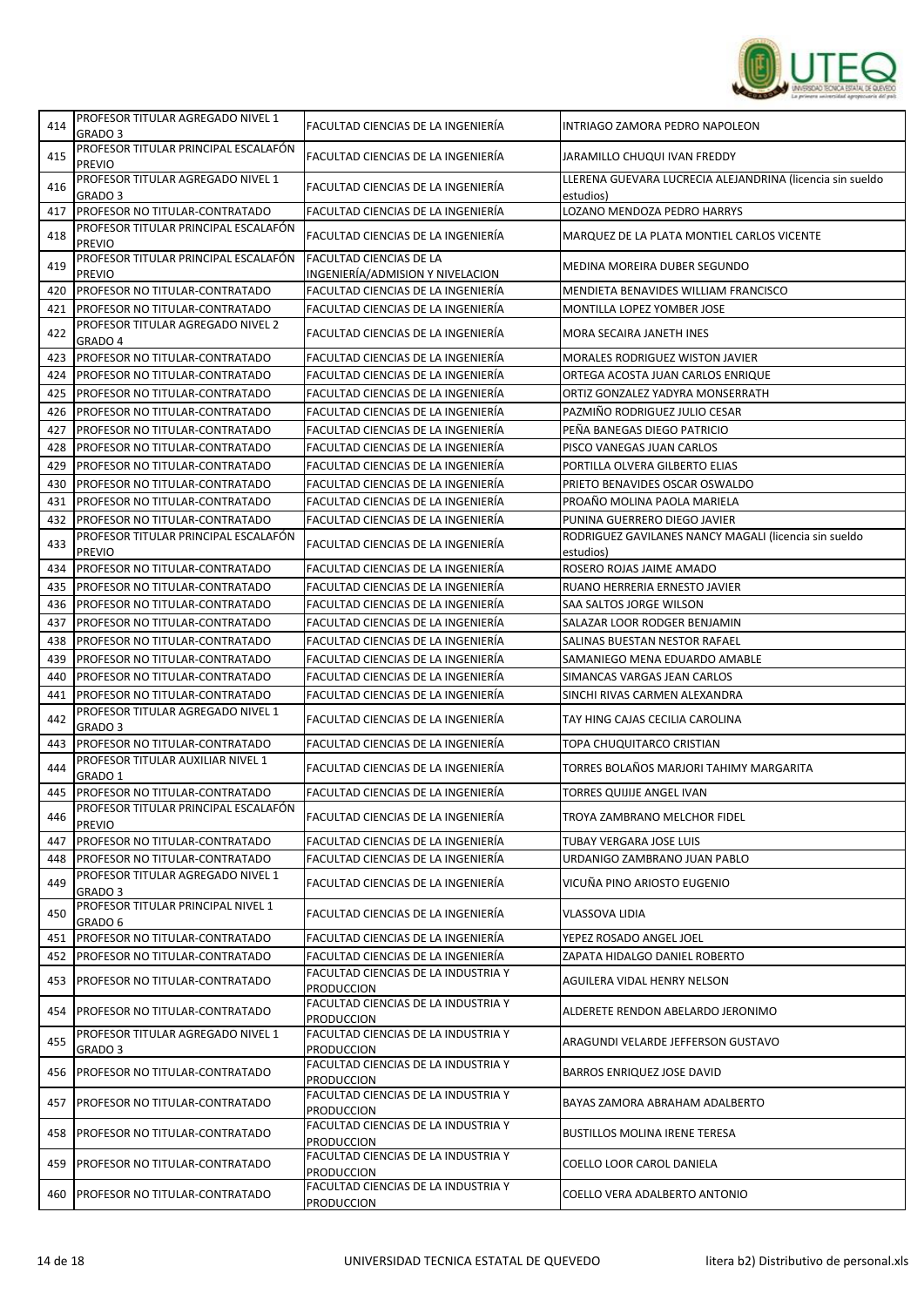

| 414 | PROFESOR TITULAR AGREGADO NIVEL 1<br>GRADO 3            | FACULTAD CIENCIAS DE LA INGENIERÍA                                     | INTRIAGO ZAMORA PEDRO NAPOLEON                                         |
|-----|---------------------------------------------------------|------------------------------------------------------------------------|------------------------------------------------------------------------|
| 415 | PROFESOR TITULAR PRINCIPAL ESCALAFÓN<br><b>PREVIO</b>   | FACULTAD CIENCIAS DE LA INGENIERÍA                                     | JARAMILLO CHUQUI IVAN FREDDY                                           |
| 416 | PROFESOR TITULAR AGREGADO NIVEL 1<br>GRADO <sub>3</sub> | FACULTAD CIENCIAS DE LA INGENIERÍA                                     | LLERENA GUEVARA LUCRECIA ALEJANDRINA (licencia sin sueldo<br>estudios) |
| 417 | PROFESOR NO TITULAR-CONTRATADO                          | FACULTAD CIENCIAS DE LA INGENIERÍA                                     | LOZANO MENDOZA PEDRO HARRYS                                            |
| 418 | PROFESOR TITULAR PRINCIPAL ESCALAFÓN<br><b>PREVIO</b>   | FACULTAD CIENCIAS DE LA INGENIERÍA                                     | MARQUEZ DE LA PLATA MONTIEL CARLOS VICENTE                             |
| 419 | PROFESOR TITULAR PRINCIPAL ESCALAFÓN                    | FACULTAD CIENCIAS DE LA                                                | MEDINA MOREIRA DUBER SEGUNDO                                           |
| 420 | <b>PREVIO</b><br>PROFESOR NO TITULAR-CONTRATADO         | INGENIERÍA/ADMISION Y NIVELACION<br>FACULTAD CIENCIAS DE LA INGENIERÍA | MENDIETA BENAVIDES WILLIAM FRANCISCO                                   |
| 421 | PROFESOR NO TITULAR-CONTRATADO                          | FACULTAD CIENCIAS DE LA INGENIERÍA                                     | MONTILLA LOPEZ YOMBER JOSE                                             |
| 422 | PROFESOR TITULAR AGREGADO NIVEL 2<br>GRADO 4            | FACULTAD CIENCIAS DE LA INGENIERÍA                                     | MORA SECAIRA JANETH INES                                               |
| 423 | PROFESOR NO TITULAR-CONTRATADO                          | FACULTAD CIENCIAS DE LA INGENIERÍA                                     | MORALES RODRIGUEZ WISTON JAVIER                                        |
| 424 | PROFESOR NO TITULAR-CONTRATADO                          | FACULTAD CIENCIAS DE LA INGENIERÍA                                     | ORTEGA ACOSTA JUAN CARLOS ENRIQUE                                      |
| 425 | PROFESOR NO TITULAR-CONTRATADO                          | FACULTAD CIENCIAS DE LA INGENIERÍA                                     | ORTIZ GONZALEZ YADYRA MONSERRATH                                       |
| 426 | PROFESOR NO TITULAR-CONTRATADO                          | FACULTAD CIENCIAS DE LA INGENIERÍA                                     | PAZMIÑO RODRIGUEZ JULIO CESAR                                          |
| 427 | PROFESOR NO TITULAR-CONTRATADO                          | FACULTAD CIENCIAS DE LA INGENIERÍA                                     | PEÑA BANEGAS DIEGO PATRICIO                                            |
| 428 | PROFESOR NO TITULAR-CONTRATADO                          | FACULTAD CIENCIAS DE LA INGENIERÍA                                     | PISCO VANEGAS JUAN CARLOS                                              |
|     | PROFESOR NO TITULAR-CONTRATADO                          | FACULTAD CIENCIAS DE LA INGENIERÍA                                     | PORTILLA OLVERA GILBERTO ELIAS                                         |
| 429 |                                                         |                                                                        |                                                                        |
| 430 | PROFESOR NO TITULAR-CONTRATADO                          | FACULTAD CIENCIAS DE LA INGENIERÍA                                     | PRIETO BENAVIDES OSCAR OSWALDO                                         |
| 431 | PROFESOR NO TITULAR-CONTRATADO                          | FACULTAD CIENCIAS DE LA INGENIERÍA                                     | PROAÑO MOLINA PAOLA MARIELA                                            |
| 432 | PROFESOR NO TITULAR-CONTRATADO                          | FACULTAD CIENCIAS DE LA INGENIERÍA                                     | PUNINA GUERRERO DIEGO JAVIER                                           |
| 433 | PROFESOR TITULAR PRINCIPAL ESCALAFÓN<br><b>PREVIO</b>   | FACULTAD CIENCIAS DE LA INGENIERÍA                                     | RODRIGUEZ GAVILANES NANCY MAGALI (licencia sin sueldo<br>estudios)     |
| 434 | PROFESOR NO TITULAR-CONTRATADO                          | FACULTAD CIENCIAS DE LA INGENIERÍA                                     | ROSERO ROJAS JAIME AMADO                                               |
| 435 | PROFESOR NO TITULAR-CONTRATADO                          | FACULTAD CIENCIAS DE LA INGENIERÍA                                     | RUANO HERRERIA ERNESTO JAVIER                                          |
| 436 | PROFESOR NO TITULAR-CONTRATADO                          | FACULTAD CIENCIAS DE LA INGENIERÍA                                     | SAA SALTOS JORGE WILSON                                                |
| 437 | PROFESOR NO TITULAR-CONTRATADO                          | FACULTAD CIENCIAS DE LA INGENIERÍA                                     | SALAZAR LOOR RODGER BENJAMIN                                           |
| 438 | PROFESOR NO TITULAR-CONTRATADO                          | FACULTAD CIENCIAS DE LA INGENIERÍA                                     | SALINAS BUESTAN NESTOR RAFAEL                                          |
| 439 | PROFESOR NO TITULAR-CONTRATADO                          | FACULTAD CIENCIAS DE LA INGENIERÍA                                     | SAMANIEGO MENA EDUARDO AMABLE                                          |
| 440 | PROFESOR NO TITULAR-CONTRATADO                          | FACULTAD CIENCIAS DE LA INGENIERÍA                                     | SIMANCAS VARGAS JEAN CARLOS                                            |
| 441 | PROFESOR NO TITULAR-CONTRATADO                          | FACULTAD CIENCIAS DE LA INGENIERÍA                                     | SINCHI RIVAS CARMEN ALEXANDRA                                          |
| 442 | PROFESOR TITULAR AGREGADO NIVEL 1<br>GRADO <sub>3</sub> | FACULTAD CIENCIAS DE LA INGENIERÍA                                     | TAY HING CAJAS CECILIA CAROLINA                                        |
| 443 | PROFESOR NO TITULAR-CONTRATADO                          | FACULTAD CIENCIAS DE LA INGENIERÍA                                     | TOPA CHUQUITARCO CRISTIAN                                              |
| 444 | PROFESOR TITULAR AUXILIAR NIVEL 1                       | FACULTAD CIENCIAS DE LA INGENIERÍA                                     | TORRES BOLAÑOS MARJORI TAHIMY MARGARITA                                |
| 445 | GRADO 1<br>PROFESOR NO TITULAR-CONTRATADO               | FACULTAD CIENCIAS DE LA INGENIERÍA                                     | TORRES QUIJIJE ANGEL IVAN                                              |
| 446 | PROFESOR TITULAR PRINCIPAL ESCALAFÓN<br>PREVIO          | FACULTAD CIENCIAS DE LA INGENIERÍA                                     | TROYA ZAMBRANO MELCHOR FIDEL                                           |
| 447 | PROFESOR NO TITULAR-CONTRATADO                          | FACULTAD CIENCIAS DE LA INGENIERÍA                                     | TUBAY VERGARA JOSE LUIS                                                |
| 448 | PROFESOR NO TITULAR-CONTRATADO                          | FACULTAD CIENCIAS DE LA INGENIERÍA                                     | URDANIGO ZAMBRANO JUAN PABLO                                           |
| 449 | PROFESOR TITULAR AGREGADO NIVEL 1                       | FACULTAD CIENCIAS DE LA INGENIERÍA                                     | VICUÑA PINO ARIOSTO EUGENIO                                            |
| 450 | GRADO 3<br>PROFESOR TITULAR PRINCIPAL NIVEL 1           | FACULTAD CIENCIAS DE LA INGENIERÍA                                     | VLASSOVA LIDIA                                                         |
| 451 | GRADO 6<br>PROFESOR NO TITULAR-CONTRATADO               | FACULTAD CIENCIAS DE LA INGENIERÍA                                     | YEPEZ ROSADO ANGEL JOEL                                                |
| 452 | PROFESOR NO TITULAR-CONTRATADO                          | FACULTAD CIENCIAS DE LA INGENIERÍA                                     | ZAPATA HIDALGO DANIEL ROBERTO                                          |
| 453 | PROFESOR NO TITULAR-CONTRATADO                          | FACULTAD CIENCIAS DE LA INDUSTRIA Y                                    | AGUILERA VIDAL HENRY NELSON                                            |
| 454 | PROFESOR NO TITULAR-CONTRATADO                          | <b>PRODUCCION</b><br>FACULTAD CIENCIAS DE LA INDUSTRIA Y               | ALDERETE RENDON ABELARDO JERONIMO                                      |
|     | PROFESOR TITULAR AGREGADO NIVEL 1                       | <b>PRODUCCION</b><br>FACULTAD CIENCIAS DE LA INDUSTRIA Y               |                                                                        |
| 455 | GRADO 3                                                 | <b>PRODUCCION</b>                                                      | ARAGUNDI VELARDE JEFFERSON GUSTAVO                                     |
| 456 | PROFESOR NO TITULAR-CONTRATADO                          | FACULTAD CIENCIAS DE LA INDUSTRIA Y<br><b>PRODUCCION</b>               | BARROS ENRIQUEZ JOSE DAVID                                             |
| 457 | PROFESOR NO TITULAR-CONTRATADO                          | FACULTAD CIENCIAS DE LA INDUSTRIA Y<br><b>PRODUCCION</b>               | BAYAS ZAMORA ABRAHAM ADALBERTO                                         |
| 458 | PROFESOR NO TITULAR-CONTRATADO                          | FACULTAD CIENCIAS DE LA INDUSTRIA Y<br><b>PRODUCCION</b>               | <b>BUSTILLOS MOLINA IRENE TERESA</b>                                   |
| 459 | PROFESOR NO TITULAR-CONTRATADO                          | FACULTAD CIENCIAS DE LA INDUSTRIA Y<br><b>PRODUCCION</b>               | COELLO LOOR CAROL DANIELA                                              |
| 460 | PROFESOR NO TITULAR-CONTRATADO                          | FACULTAD CIENCIAS DE LA INDUSTRIA Y<br><b>PRODUCCION</b>               | COELLO VERA ADALBERTO ANTONIO                                          |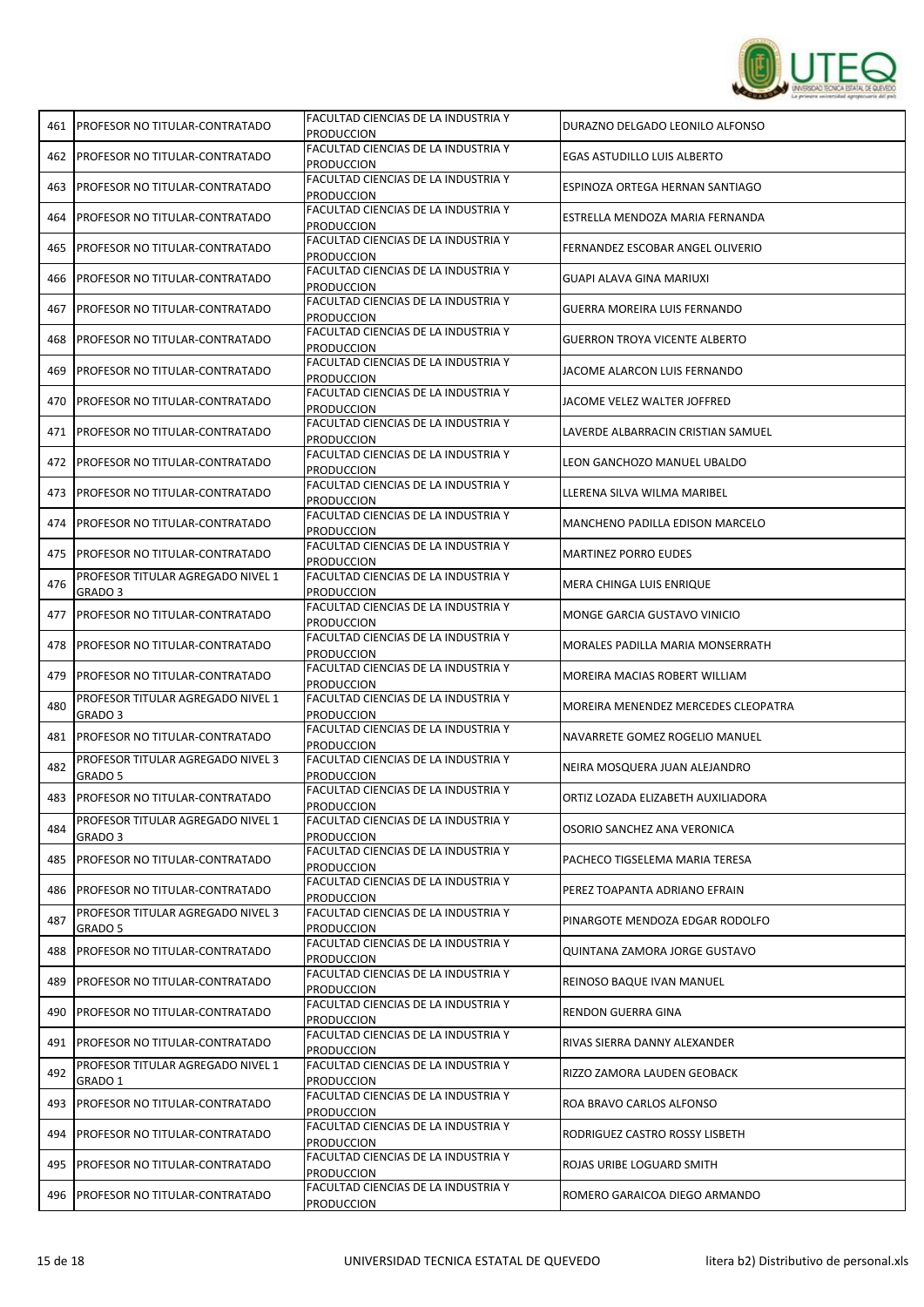

| 461 | <b>PROFESOR NO TITULAR-CONTRATADO</b>                   | FACULTAD CIENCIAS DE LA INDUSTRIA Y<br><b>PRODUCCION</b>                                        | DURAZNO DELGADO LEONILO ALFONSO      |
|-----|---------------------------------------------------------|-------------------------------------------------------------------------------------------------|--------------------------------------|
| 462 | PROFESOR NO TITULAR-CONTRATADO                          | FACULTAD CIENCIAS DE LA INDUSTRIA Y<br><b>PRODUCCION</b>                                        | EGAS ASTUDILLO LUIS ALBERTO          |
| 463 | PROFESOR NO TITULAR-CONTRATADO                          | FACULTAD CIENCIAS DE LA INDUSTRIA Y<br><b>PRODUCCION</b>                                        | ESPINOZA ORTEGA HERNAN SANTIAGO      |
| 464 | PROFESOR NO TITULAR-CONTRATADO                          | FACULTAD CIENCIAS DE LA INDUSTRIA Y<br>PRODUCCION                                               | ESTRELLA MENDOZA MARIA FERNANDA      |
| 465 | PROFESOR NO TITULAR-CONTRATADO                          | FACULTAD CIENCIAS DE LA INDUSTRIA Y<br><b>PRODUCCION</b>                                        | FERNANDEZ ESCOBAR ANGEL OLIVERIO     |
| 466 | PROFESOR NO TITULAR-CONTRATADO                          | FACULTAD CIENCIAS DE LA INDUSTRIA Y<br><b>PRODUCCION</b>                                        | GUAPI ALAVA GINA MARIUXI             |
| 467 | PROFESOR NO TITULAR-CONTRATADO                          | FACULTAD CIENCIAS DE LA INDUSTRIA Y<br><b>PRODUCCION</b>                                        | GUERRA MOREIRA LUIS FERNANDO         |
| 468 | PROFESOR NO TITULAR-CONTRATADO                          | FACULTAD CIENCIAS DE LA INDUSTRIA Y<br>PRODUCCION                                               | <b>GUERRON TROYA VICENTE ALBERTO</b> |
| 469 | PROFESOR NO TITULAR-CONTRATADO                          | FACULTAD CIENCIAS DE LA INDUSTRIA Y<br><b>PRODUCCION</b>                                        | JACOME ALARCON LUIS FERNANDO         |
| 470 | PROFESOR NO TITULAR-CONTRATADO                          | FACULTAD CIENCIAS DE LA INDUSTRIA Y<br><b>PRODUCCION</b>                                        | JACOME VELEZ WALTER JOFFRED          |
| 471 | PROFESOR NO TITULAR-CONTRATADO                          | FACULTAD CIENCIAS DE LA INDUSTRIA Y<br>PRODUCCION                                               | LAVERDE ALBARRACIN CRISTIAN SAMUEL   |
| 472 | PROFESOR NO TITULAR-CONTRATADO                          | FACULTAD CIENCIAS DE LA INDUSTRIA Y<br><b>PRODUCCION</b>                                        | LEON GANCHOZO MANUEL UBALDO          |
| 473 | PROFESOR NO TITULAR-CONTRATADO                          | FACULTAD CIENCIAS DE LA INDUSTRIA Y<br><b>PRODUCCION</b>                                        | LLERENA SILVA WILMA MARIBEL          |
| 474 | PROFESOR NO TITULAR-CONTRATADO                          | FACULTAD CIENCIAS DE LA INDUSTRIA Y<br><b>PRODUCCION</b>                                        | MANCHENO PADILLA EDISON MARCELO      |
| 475 | PROFESOR NO TITULAR-CONTRATADO                          | FACULTAD CIENCIAS DE LA INDUSTRIA Y<br><b>PRODUCCION</b>                                        | <b>MARTINEZ PORRO EUDES</b>          |
| 476 | PROFESOR TITULAR AGREGADO NIVEL 1<br>GRADO 3            | FACULTAD CIENCIAS DE LA INDUSTRIA Y<br><b>PRODUCCION</b>                                        | MERA CHINGA LUIS ENRIQUE             |
| 477 | PROFESOR NO TITULAR-CONTRATADO                          | FACULTAD CIENCIAS DE LA INDUSTRIA Y<br><b>PRODUCCION</b>                                        | MONGE GARCIA GUSTAVO VINICIO         |
| 478 | PROFESOR NO TITULAR-CONTRATADO                          | FACULTAD CIENCIAS DE LA INDUSTRIA Y<br>PRODUCCION                                               | MORALES PADILLA MARIA MONSERRATH     |
|     |                                                         |                                                                                                 |                                      |
| 479 | PROFESOR NO TITULAR-CONTRATADO                          | FACULTAD CIENCIAS DE LA INDUSTRIA Y<br><b>PRODUCCION</b>                                        | MOREIRA MACIAS ROBERT WILLIAM        |
| 480 | PROFESOR TITULAR AGREGADO NIVEL 1<br>GRADO <sub>3</sub> | FACULTAD CIENCIAS DE LA INDUSTRIA Y<br>PRODUCCION                                               | MOREIRA MENENDEZ MERCEDES CLEOPATRA  |
| 481 | PROFESOR NO TITULAR-CONTRATADO                          | FACULTAD CIENCIAS DE LA INDUSTRIA Y<br><b>PRODUCCION</b>                                        | NAVARRETE GOMEZ ROGELIO MANUEL       |
| 482 | PROFESOR TITULAR AGREGADO NIVEL 3<br>GRADO 5            | FACULTAD CIENCIAS DE LA INDUSTRIA Y<br><b>PRODUCCION</b>                                        | NEIRA MOSQUERA JUAN ALEJANDRO        |
| 483 | PROFESOR NO TITULAR-CONTRATADO                          | FACULTAD CIENCIAS DE LA INDUSTRIA Y<br><b>PRODUCCION</b>                                        | ORTIZ LOZADA ELIZABETH AUXILIADORA   |
| 484 | PROFESOR TITULAR AGREGADO NIVEL 1<br>GRADO 3            | FACULTAD CIENCIAS DE LA INDUSTRIA Y<br><b>PRODUCCION</b>                                        | OSORIO SANCHEZ ANA VERONICA          |
| 485 | PROFESOR NO TITULAR-CONTRATADO                          | FACULTAD CIENCIAS DE LA INDUSTRIA Y<br><b>PRODUCCION</b>                                        | PACHECO TIGSELEMA MARIA TERESA       |
| 486 | PROFESOR NO TITULAR-CONTRATADO                          | FACULTAD CIENCIAS DE LA INDUSTRIA Y<br><b>PRODUCCION</b>                                        | PEREZ TOAPANTA ADRIANO EFRAIN        |
| 487 | PROFESOR TITULAR AGREGADO NIVEL 3<br>GRADO 5            | FACULTAD CIENCIAS DE LA INDUSTRIA Y<br><b>PRODUCCION</b>                                        | PINARGOTE MENDOZA EDGAR RODOLFO      |
| 488 | PROFESOR NO TITULAR-CONTRATADO                          | FACULTAD CIENCIAS DE LA INDUSTRIA Y<br>Produccion                                               | QUINTANA ZAMORA JORGE GUSTAVO        |
| 489 | PROFESOR NO TITULAR-CONTRATADO                          | FACULTAD CIENCIAS DE LA INDUSTRIA Y<br>PRODUCCION                                               | REINOSO BAQUE IVAN MANUEL            |
| 490 | PROFESOR NO TITULAR-CONTRATADO                          | FACULTAD CIENCIAS DE LA INDUSTRIA Y<br><b>PRODUCCION</b>                                        | RENDON GUERRA GINA                   |
|     | 491   PROFESOR NO TITULAR-CONTRATADO                    | FACULTAD CIENCIAS DE LA INDUSTRIA Y<br><b>PRODUCCION</b>                                        | RIVAS SIERRA DANNY ALEXANDER         |
| 492 | PROFESOR TITULAR AGREGADO NIVEL 1<br>GRADO 1            | FACULTAD CIENCIAS DE LA INDUSTRIA Y<br><b>PRODUCCION</b>                                        | RIZZO ZAMORA LAUDEN GEOBACK          |
| 493 | PROFESOR NO TITULAR-CONTRATADO                          | FACULTAD CIENCIAS DE LA INDUSTRIA Y<br><b>PRODUCCION</b>                                        | ROA BRAVO CARLOS ALFONSO             |
| 494 | PROFESOR NO TITULAR-CONTRATADO                          | FACULTAD CIENCIAS DE LA INDUSTRIA Y<br><b>PRODUCCION</b>                                        | RODRIGUEZ CASTRO ROSSY LISBETH       |
| 495 | PROFESOR NO TITULAR-CONTRATADO                          | FACULTAD CIENCIAS DE LA INDUSTRIA Y<br><b>PRODUCCION</b><br>FACULTAD CIENCIAS DE LA INDUSTRIA Y | ROJAS URIBE LOGUARD SMITH            |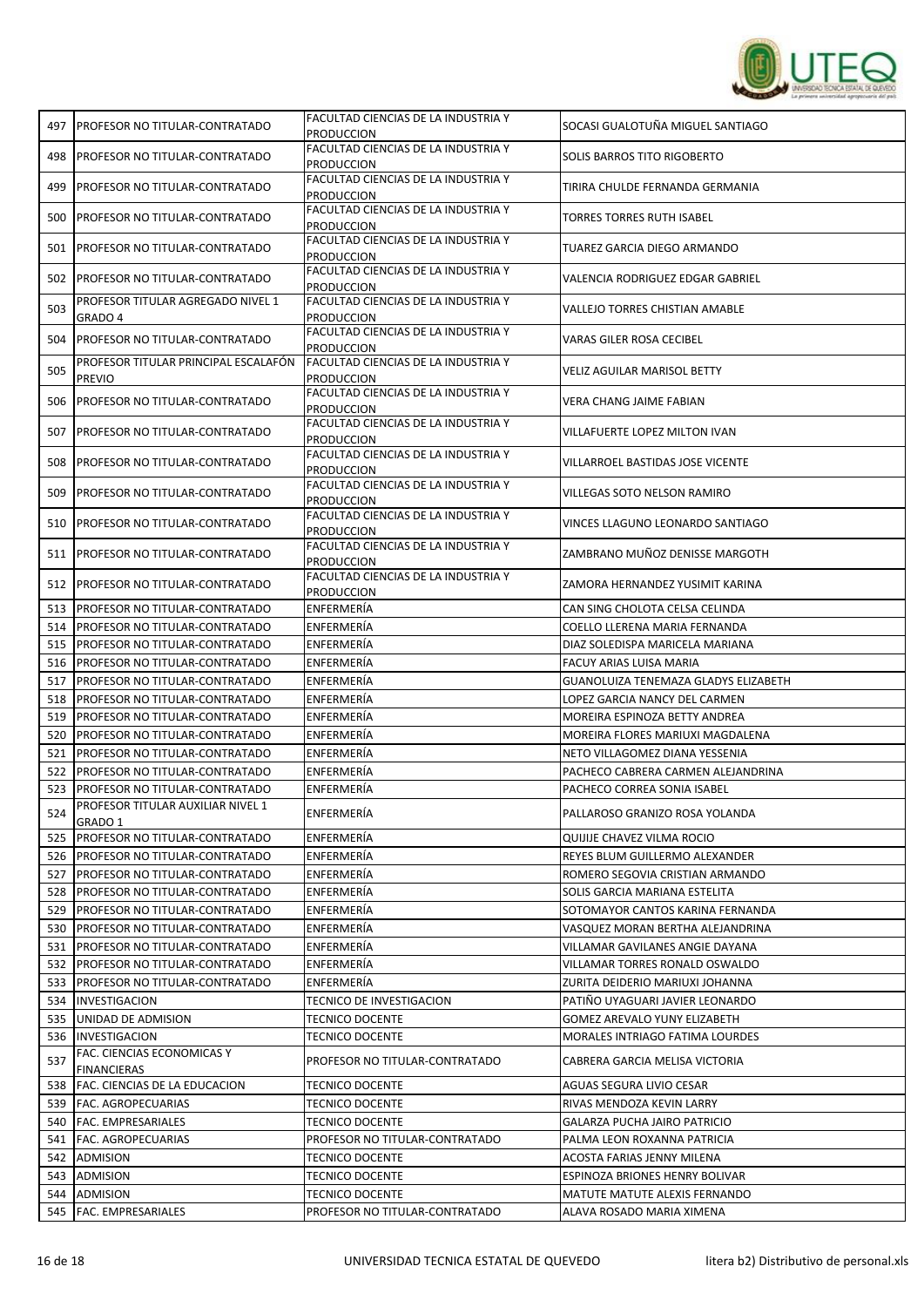

| 497 | <b>PROFESOR NO TITULAR-CONTRATADO</b>                 | FACULTAD CIENCIAS DE LA INDUSTRIA Y                      | SOCASI GUALOTUÑA MIGUEL SANTIAGO     |
|-----|-------------------------------------------------------|----------------------------------------------------------|--------------------------------------|
|     |                                                       | <b>PRODUCCION</b><br>FACULTAD CIENCIAS DE LA INDUSTRIA Y |                                      |
| 498 | PROFESOR NO TITULAR-CONTRATADO                        | <b>PRODUCCION</b>                                        | SOLIS BARROS TITO RIGOBERTO          |
| 499 | PROFESOR NO TITULAR-CONTRATADO                        | FACULTAD CIENCIAS DE LA INDUSTRIA Y<br><b>PRODUCCION</b> | TIRIRA CHULDE FERNANDA GERMANIA      |
| 500 | PROFESOR NO TITULAR-CONTRATADO                        | FACULTAD CIENCIAS DE LA INDUSTRIA Y<br><b>PRODUCCION</b> | TORRES TORRES RUTH ISABEL            |
| 501 | PROFESOR NO TITULAR-CONTRATADO                        | FACULTAD CIENCIAS DE LA INDUSTRIA Y<br>PRODUCCION        | TUAREZ GARCIA DIEGO ARMANDO          |
| 502 | PROFESOR NO TITULAR-CONTRATADO                        | FACULTAD CIENCIAS DE LA INDUSTRIA Y<br><b>PRODUCCION</b> | VALENCIA RODRIGUEZ EDGAR GABRIEL     |
| 503 | PROFESOR TITULAR AGREGADO NIVEL 1<br>GRADO 4          | FACULTAD CIENCIAS DE LA INDUSTRIA Y<br><b>PRODUCCION</b> | VALLEJO TORRES CHISTIAN AMABLE       |
| 504 | PROFESOR NO TITULAR-CONTRATADO                        | FACULTAD CIENCIAS DE LA INDUSTRIA Y<br>Produccion        | VARAS GILER ROSA CECIBEL             |
| 505 | PROFESOR TITULAR PRINCIPAL ESCALAFÓN<br><b>PREVIO</b> | FACULTAD CIENCIAS DE LA INDUSTRIA Y<br><b>PRODUCCION</b> | VELIZ AGUILAR MARISOL BETTY          |
| 506 | PROFESOR NO TITULAR-CONTRATADO                        | FACULTAD CIENCIAS DE LA INDUSTRIA Y<br><b>PRODUCCION</b> | VERA CHANG JAIME FABIAN              |
| 507 | PROFESOR NO TITULAR-CONTRATADO                        | FACULTAD CIENCIAS DE LA INDUSTRIA Y<br><b>PRODUCCION</b> | VILLAFUERTE LOPEZ MILTON IVAN        |
| 508 | PROFESOR NO TITULAR-CONTRATADO                        | FACULTAD CIENCIAS DE LA INDUSTRIA Y<br><b>PRODUCCION</b> | VILLARROEL BASTIDAS JOSE VICENTE     |
| 509 | PROFESOR NO TITULAR-CONTRATADO                        | FACULTAD CIENCIAS DE LA INDUSTRIA Y<br>PRODUCCION        | VILLEGAS SOTO NELSON RAMIRO          |
| 510 | PROFESOR NO TITULAR-CONTRATADO                        | FACULTAD CIENCIAS DE LA INDUSTRIA Y<br><b>PRODUCCION</b> | VINCES LLAGUNO LEONARDO SANTIAGO     |
| 511 | PROFESOR NO TITULAR-CONTRATADO                        | FACULTAD CIENCIAS DE LA INDUSTRIA Y<br>PRODUCCION        | ZAMBRANO MUÑOZ DENISSE MARGOTH       |
| 512 | PROFESOR NO TITULAR-CONTRATADO                        | FACULTAD CIENCIAS DE LA INDUSTRIA Y<br><b>PRODUCCION</b> | ZAMORA HERNANDEZ YUSIMIT KARINA      |
| 513 | PROFESOR NO TITULAR-CONTRATADO                        | ENFERMERÍA                                               | CAN SING CHOLOTA CELSA CELINDA       |
| 514 | PROFESOR NO TITULAR-CONTRATADO                        | ENFERMERÍA                                               | COELLO LLERENA MARIA FERNANDA        |
| 515 | PROFESOR NO TITULAR-CONTRATADO                        | ENFERMERÍA                                               | DIAZ SOLEDISPA MARICELA MARIANA      |
| 516 | PROFESOR NO TITULAR-CONTRATADO                        | ENFERMERÍA                                               | FACUY ARIAS LUISA MARIA              |
| 517 | PROFESOR NO TITULAR-CONTRATADO                        | ENFERMERÍA                                               | GUANOLUIZA TENEMAZA GLADYS ELIZABETH |
| 518 | PROFESOR NO TITULAR-CONTRATADO                        | ENFERMERÍA                                               | LOPEZ GARCIA NANCY DEL CARMEN        |
| 519 | PROFESOR NO TITULAR-CONTRATADO                        | ENFERMERÍA                                               | MOREIRA ESPINOZA BETTY ANDREA        |
| 520 | PROFESOR NO TITULAR-CONTRATADO                        | ENFERMERÍA                                               | MOREIRA FLORES MARIUXI MAGDALENA     |
| 521 | PROFESOR NO TITULAR-CONTRATADO                        | ENFERMERÍA                                               | NETO VILLAGOMEZ DIANA YESSENIA       |
| 522 | PROFESOR NO TITULAR-CONTRATADO                        | ENFERMERÍA                                               | PACHECO CABRERA CARMEN ALEJANDRINA   |
| 523 | PROFESOR NO TITULAR-CONTRATADO                        | ENFERMERÍA                                               | PACHECO CORREA SONIA ISABEL          |
| 524 | PROFESOR TITULAR AUXILIAR NIVEL 1<br>GRADO 1          | ENFERMERIA                                               | PALLAROSO GRANIZO ROSA YOLANDA       |
| 525 | PROFESOR NO TITULAR-CONTRATADO                        | ENFERMERÍA                                               | QUIJIJE CHAVEZ VILMA ROCIO           |
| 526 | <b>PROFESOR NO TITULAR-CONTRATADO</b>                 | ENFERMERÍA                                               | REYES BLUM GUILLERMO ALEXANDER       |
| 527 | PROFESOR NO TITULAR-CONTRATADO                        | ENFERMERIA                                               | ROMERO SEGOVIA CRISTIAN ARMANDO      |
| 528 | PROFESOR NO TITULAR-CONTRATADO                        | ENFERMERIA                                               | SOLIS GARCIA MARIANA ESTELITA        |
| 529 | PROFESOR NO TITULAR-CONTRATADO                        | ENFERMERÍA                                               | SOTOMAYOR CANTOS KARINA FERNANDA     |
| 530 | PROFESOR NO TITULAR-CONTRATADO                        | ENFERMERÍA                                               | VASQUEZ MORAN BERTHA ALEJANDRINA     |
| 531 | PROFESOR NO TITULAR-CONTRATADO                        | ENFERMERÍA                                               | VILLAMAR GAVILANES ANGIE DAYANA      |
| 532 | PROFESOR NO TITULAR-CONTRATADO                        | ENFERMERÍA                                               | VILLAMAR TORRES RONALD OSWALDO       |
| 533 | PROFESOR NO TITULAR-CONTRATADO                        | ENFERMERIA                                               | ZURITA DEIDERIO MARIUXI JOHANNA      |
| 534 | <b>INVESTIGACION</b>                                  | TECNICO DE INVESTIGACION                                 | PATIÑO UYAGUARI JAVIER LEONARDO      |
| 535 | UNIDAD DE ADMISION                                    | TECNICO DOCENTE                                          | GOMEZ AREVALO YUNY ELIZABETH         |
| 536 | INVESTIGACION                                         | TECNICO DOCENTE                                          | MORALES INTRIAGO FATIMA LOURDES      |
| 537 | FAC. CIENCIAS ECONOMICAS Y<br><b>FINANCIERAS</b>      | PROFESOR NO TITULAR-CONTRATADO                           | CABRERA GARCIA MELISA VICTORIA       |
| 538 | FAC. CIENCIAS DE LA EDUCACION                         | <b>TECNICO DOCENTE</b>                                   | AGUAS SEGURA LIVIO CESAR             |
| 539 | FAC. AGROPECUARIAS                                    | TECNICO DOCENTE                                          | RIVAS MENDOZA KEVIN LARRY            |
| 540 | FAC. EMPRESARIALES                                    | TECNICO DOCENTE                                          | GALARZA PUCHA JAIRO PATRICIO         |
| 541 | FAC. AGROPECUARIAS                                    | PROFESOR NO TITULAR-CONTRATADO                           | PALMA LEON ROXANNA PATRICIA          |
| 542 | ADMISION                                              | TECNICO DOCENTE                                          | ACOSTA FARIAS JENNY MILENA           |
| 543 | ADMISION                                              | TECNICO DOCENTE                                          | ESPINOZA BRIONES HENRY BOLIVAR       |
|     |                                                       |                                                          |                                      |
| 544 | ADMISION                                              | TECNICO DOCENTE                                          | MATUTE MATUTE ALEXIS FERNANDO        |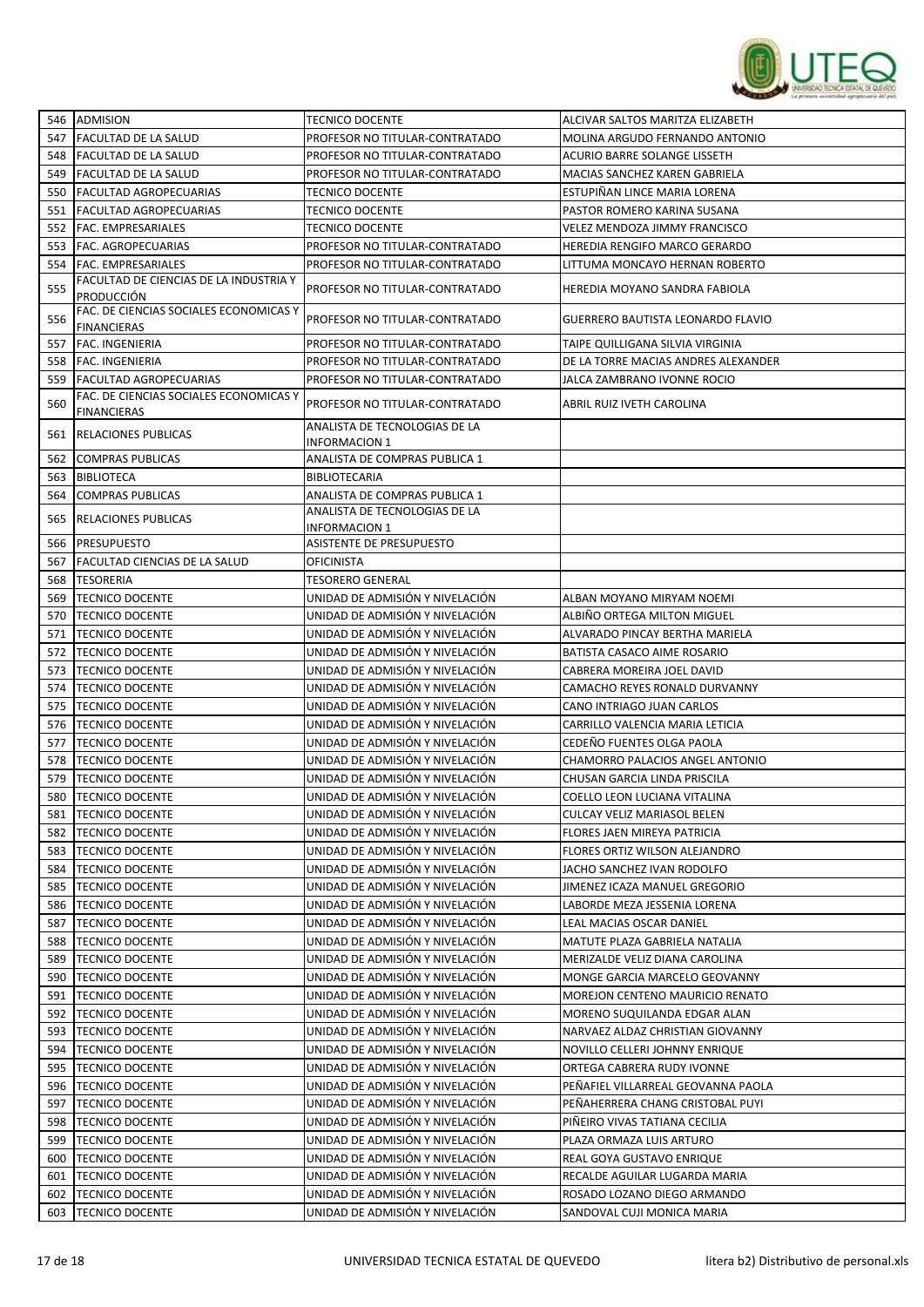

|     | 546 ADMISION                                                 | <b>TECNICO DOCENTE</b>                         | ALCIVAR SALTOS MARITZA ELIZABETH     |
|-----|--------------------------------------------------------------|------------------------------------------------|--------------------------------------|
| 547 | <b>FACULTAD DE LA SALUD</b>                                  | PROFESOR NO TITULAR-CONTRATADO                 | MOLINA ARGUDO FERNANDO ANTONIO       |
| 548 | <b>FACULTAD DE LA SALUD</b>                                  | PROFESOR NO TITULAR-CONTRATADO                 | <b>ACURIO BARRE SOLANGE LISSETH</b>  |
| 549 | FACULTAD DE LA SALUD                                         | PROFESOR NO TITULAR-CONTRATADO                 | MACIAS SANCHEZ KAREN GABRIELA        |
| 550 | <b>FACULTAD AGROPECUARIAS</b>                                | TECNICO DOCENTE                                | ESTUPIÑAN LINCE MARIA LORENA         |
| 551 | FACULTAD AGROPECUARIAS                                       | TECNICO DOCENTE                                | PASTOR ROMERO KARINA SUSANA          |
| 552 | FAC. EMPRESARIALES                                           | <b>TECNICO DOCENTE</b>                         | VELEZ MENDOZA JIMMY FRANCISCO        |
| 553 | <b>FAC. AGROPECUARIAS</b>                                    | PROFESOR NO TITULAR-CONTRATADO                 | <b>HEREDIA RENGIFO MARCO GERARDO</b> |
| 554 | FAC. EMPRESARIALES                                           | PROFESOR NO TITULAR-CONTRATADO                 | LITTUMA MONCAYO HERNAN ROBERTO       |
| 555 | FACULTAD DE CIENCIAS DE LA INDUSTRIA Y<br>PRODUCCIÓN         | PROFESOR NO TITULAR-CONTRATADO                 | HEREDIA MOYANO SANDRA FABIOLA        |
| 556 | FAC. DE CIENCIAS SOCIALES ECONOMICAS Y<br><b>FINANCIERAS</b> | PROFESOR NO TITULAR-CONTRATADO                 | GUERRERO BAUTISTA LEONARDO FLAVIO    |
| 557 | <b>FAC. INGENIERIA</b>                                       | PROFESOR NO TITULAR-CONTRATADO                 | TAIPE QUILLIGANA SILVIA VIRGINIA     |
| 558 | <b>FAC. INGENIERIA</b>                                       | PROFESOR NO TITULAR-CONTRATADO                 | DE LA TORRE MACIAS ANDRES ALEXANDER  |
| 559 | <b>FACULTAD AGROPECUARIAS</b>                                | PROFESOR NO TITULAR-CONTRATADO                 | JALCA ZAMBRANO IVONNE ROCIO          |
| 560 | FAC. DE CIENCIAS SOCIALES ECONOMICAS Y<br><b>FINANCIERAS</b> | PROFESOR NO TITULAR-CONTRATADO                 | ABRIL RUIZ IVETH CAROLINA            |
| 561 | <b>RELACIONES PUBLICAS</b>                                   | ANALISTA DE TECNOLOGIAS DE LA<br>INFORMACION 1 |                                      |
| 562 | <b>COMPRAS PUBLICAS</b>                                      | ANALISTA DE COMPRAS PUBLICA 1                  |                                      |
| 563 | <b>BIBLIOTECA</b>                                            | <b>BIBLIOTECARIA</b>                           |                                      |
| 564 | <b>COMPRAS PUBLICAS</b>                                      | ANALISTA DE COMPRAS PUBLICA 1                  |                                      |
| 565 | <b>RELACIONES PUBLICAS</b>                                   | ANALISTA DE TECNOLOGIAS DE LA<br>INFORMACION 1 |                                      |
| 566 | <b>PRESUPUESTO</b>                                           | ASISTENTE DE PRESUPUESTO                       |                                      |
| 567 | <b>FACULTAD CIENCIAS DE LA SALUD</b>                         | OFICINISTA                                     |                                      |
| 568 | <b>TESORERIA</b>                                             | TESORERO GENERAL                               |                                      |
| 569 | <b>TECNICO DOCENTE</b>                                       | UNIDAD DE ADMISIÓN Y NIVELACIÓN                | ALBAN MOYANO MIRYAM NOEMI            |
| 570 | <b>TECNICO DOCENTE</b>                                       | UNIDAD DE ADMISIÓN Y NIVELACIÓN                | ALBIÑO ORTEGA MILTON MIGUEL          |
| 571 | <b>TECNICO DOCENTE</b>                                       | UNIDAD DE ADMISIÓN Y NIVELACIÓN                | ALVARADO PINCAY BERTHA MARIELA       |
| 572 | <b>TECNICO DOCENTE</b>                                       | UNIDAD DE ADMISIÓN Y NIVELACIÓN                | BATISTA CASACO AIME ROSARIO          |
| 573 | <b>TECNICO DOCENTE</b>                                       | UNIDAD DE ADMISIÓN Y NIVELACIÓN                | CABRERA MOREIRA JOEL DAVID           |
| 574 | <b>TECNICO DOCENTE</b>                                       | UNIDAD DE ADMISIÓN Y NIVELACIÓN                | CAMACHO REYES RONALD DURVANNY        |
| 575 | <b>TECNICO DOCENTE</b>                                       | UNIDAD DE ADMISIÓN Y NIVELACIÓN                | CANO INTRIAGO JUAN CARLOS            |
| 576 | <b>TECNICO DOCENTE</b>                                       | UNIDAD DE ADMISIÓN Y NIVELACIÓN                | CARRILLO VALENCIA MARIA LETICIA      |
| 577 | <b>TECNICO DOCENTE</b>                                       | UNIDAD DE ADMISIÓN Y NIVELACIÓN                | CEDEÑO FUENTES OLGA PAOLA            |
| 578 | <b>TECNICO DOCENTE</b>                                       | UNIDAD DE ADMISIÓN Y NIVELACIÓN                | CHAMORRO PALACIOS ANGEL ANTONIO      |
| 579 | <b>TECNICO DOCENTE</b>                                       | UNIDAD DE ADMISIÓN Y NIVELACIÓN                | CHUSAN GARCIA LINDA PRISCILA         |
| 580 | <b>TECNICO DOCENTE</b>                                       | UNIDAD DE ADMISIÓN Y NIVELACIÓN                | COELLO LEON LUCIANA VITALINA         |
| 581 | <b>TECNICO DOCENTE</b>                                       | UNIDAD DE ADMISIÓN Y NIVELACIÓN                | CULCAY VELIZ MARIASOL BELEN          |
| 582 | <b>TECNICO DOCENTE</b>                                       | UNIDAD DE ADMISIÓN Y NIVELACIÓN                | FLORES JAEN MIREYA PATRICIA          |
| 583 | <b>TECNICO DOCENTE</b>                                       | UNIDAD DE ADMISIÓN Y NIVELACIÓN                | FLORES ORTIZ WILSON ALEJANDRO        |
| 584 | <b>TECNICO DOCENTE</b>                                       | UNIDAD DE ADMISIÓN Y NIVELACIÓN                | JACHO SANCHEZ IVAN RODOLFO           |
| 585 | <b>TECNICO DOCENTE</b>                                       | UNIDAD DE ADMISIÓN Y NIVELACIÓN                | JIMENEZ ICAZA MANUEL GREGORIO        |
| 586 | <b>TECNICO DOCENTE</b>                                       | UNIDAD DE ADMISIÓN Y NIVELACIÓN                | LABORDE MEZA JESSENIA LORENA         |
| 587 | <b>TECNICO DOCENTE</b>                                       | UNIDAD DE ADMISIÓN Y NIVELACIÓN                | LEAL MACIAS OSCAR DANIEL             |
| 588 | <b>TECNICO DOCENTE</b>                                       | UNIDAD DE ADMISIÓN Y NIVELACIÓN                | MATUTE PLAZA GABRIELA NATALIA        |
| 589 | <b>TECNICO DOCENTE</b>                                       | UNIDAD DE ADMISIÓN Y NIVELACIÓN                | MERIZALDE VELIZ DIANA CAROLINA       |
| 590 | <b>TECNICO DOCENTE</b>                                       | UNIDAD DE ADMISIÓN Y NIVELACIÓN                | MONGE GARCIA MARCELO GEOVANNY        |
| 591 | <b>TECNICO DOCENTE</b>                                       | UNIDAD DE ADMISIÓN Y NIVELACIÓN                | MOREJON CENTENO MAURICIO RENATO      |
| 592 | <b>TECNICO DOCENTE</b>                                       | UNIDAD DE ADMISIÓN Y NIVELACIÓN                | MORENO SUQUILANDA EDGAR ALAN         |
| 593 | <b>TECNICO DOCENTE</b>                                       | UNIDAD DE ADMISIÓN Y NIVELACIÓN                | NARVAEZ ALDAZ CHRISTIAN GIOVANNY     |
| 594 | <b>TECNICO DOCENTE</b>                                       | UNIDAD DE ADMISIÓN Y NIVELACIÓN                | NOVILLO CELLERI JOHNNY ENRIQUE       |
| 595 | <b>TECNICO DOCENTE</b>                                       | UNIDAD DE ADMISIÓN Y NIVELACIÓN                | ORTEGA CABRERA RUDY IVONNE           |
| 596 | <b>TECNICO DOCENTE</b>                                       | UNIDAD DE ADMISIÓN Y NIVELACIÓN                | PEÑAFIEL VILLARREAL GEOVANNA PAOLA   |
| 597 | <b>TECNICO DOCENTE</b>                                       | UNIDAD DE ADMISIÓN Y NIVELACIÓN                | PEÑAHERRERA CHANG CRISTOBAL PUYI     |
| 598 | <b>TECNICO DOCENTE</b>                                       | UNIDAD DE ADMISIÓN Y NIVELACIÓN                | PIÑEIRO VIVAS TATIANA CECILIA        |
| 599 | <b>TECNICO DOCENTE</b>                                       | UNIDAD DE ADMISIÓN Y NIVELACIÓN                | PLAZA ORMAZA LUIS ARTURO             |
| 600 | <b>TECNICO DOCENTE</b>                                       | UNIDAD DE ADMISIÓN Y NIVELACIÓN                | REAL GOYA GUSTAVO ENRIQUE            |
| 601 | <b>TECNICO DOCENTE</b>                                       | UNIDAD DE ADMISIÓN Y NIVELACIÓN                | RECALDE AGUILAR LUGARDA MARIA        |
| 602 | <b>TECNICO DOCENTE</b>                                       | UNIDAD DE ADMISIÓN Y NIVELACIÓN                | ROSADO LOZANO DIEGO ARMANDO          |
| 603 | <b>TECNICO DOCENTE</b>                                       | UNIDAD DE ADMISIÓN Y NIVELACIÓN                | SANDOVAL CUJI MONICA MARIA           |
|     |                                                              |                                                |                                      |